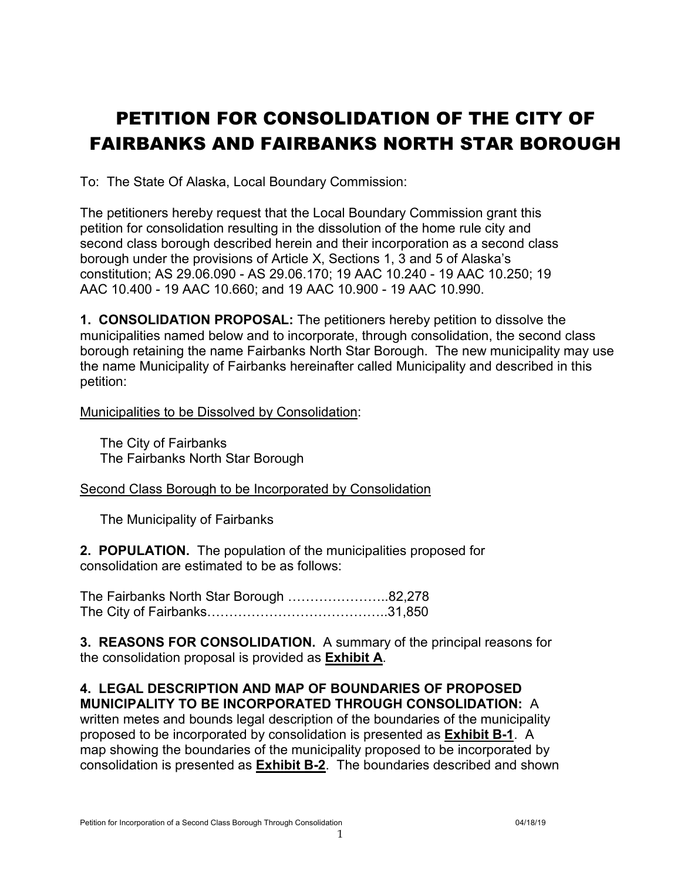# PETITION FOR CONSOLIDATION OF THE CITY OF FAIRBANKS AND FAIRBANKS NORTH STAR BOROUGH

To: The State Of Alaska, Local Boundary Commission:

The petitioners hereby request that the Local Boundary Commission grant this petition for consolidation resulting in the dissolution of the home rule city and second class borough described herein and their incorporation as a second class borough under the provisions of Article X, Sections 1, 3 and 5 of Alaska's constitution; AS 29.06.090 - AS 29.06.170; 19 AAC 10.240 - 19 AAC 10.250; 19 AAC 10.400 - 19 AAC 10.660; and 19 AAC 10.900 - 19 AAC 10.990.

**1. CONSOLIDATION PROPOSAL:** The petitioners hereby petition to dissolve the municipalities named below and to incorporate, through consolidation, the second class borough retaining the name Fairbanks North Star Borough. The new municipality may use the name Municipality of Fairbanks hereinafter called Municipality and described in this petition:

Municipalities to be Dissolved by Consolidation:

The City of Fairbanks The Fairbanks North Star Borough

Second Class Borough to be Incorporated by Consolidation

The Municipality of Fairbanks

**2. POPULATION.** The population of the municipalities proposed for consolidation are estimated to be as follows:

The Fairbanks North Star Borough …………………..82,278 The City of Fairbanks…………………………………..31,850

**3. REASONS FOR CONSOLIDATION.** A summary of the principal reasons for the consolidation proposal is provided as **Exhibit A**.

#### **4. LEGAL DESCRIPTION AND MAP OF BOUNDARIES OF PROPOSED MUNICIPALITY TO BE INCORPORATED THROUGH CONSOLIDATION:** A

written metes and bounds legal description of the boundaries of the municipality proposed to be incorporated by consolidation is presented as **Exhibit B-1**. A map showing the boundaries of the municipality proposed to be incorporated by consolidation is presented as **Exhibit B-2**. The boundaries described and shown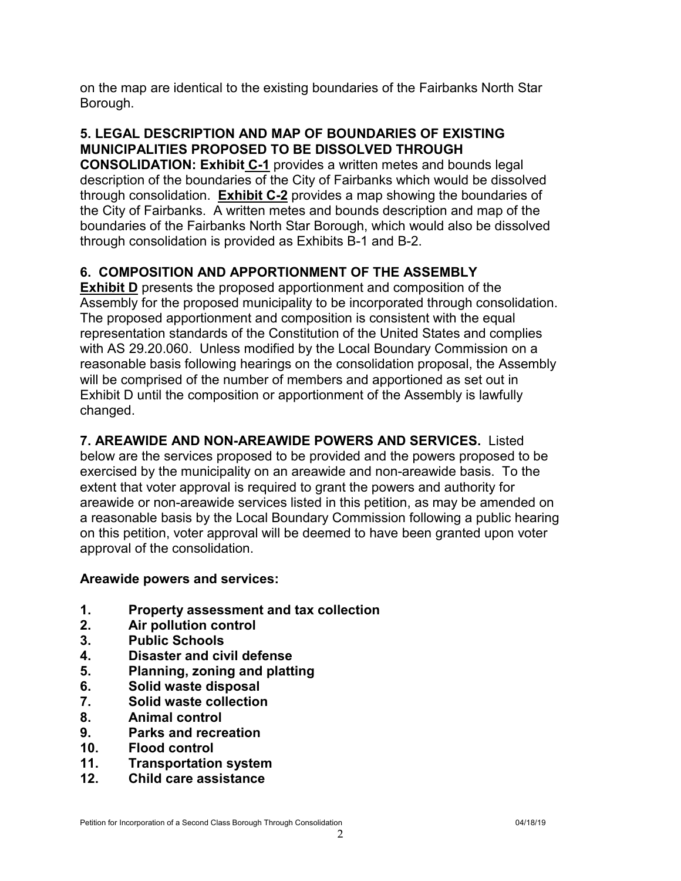on the map are identical to the existing boundaries of the Fairbanks North Star Borough.

#### **5. LEGAL DESCRIPTION AND MAP OF BOUNDARIES OF EXISTING MUNICIPALITIES PROPOSED TO BE DISSOLVED THROUGH**

**CONSOLIDATION: Exhibit C-1** provides a written metes and bounds legal description of the boundaries of the City of Fairbanks which would be dissolved through consolidation. **Exhibit C-2** provides a map showing the boundaries of the City of Fairbanks. A written metes and bounds description and map of the boundaries of the Fairbanks North Star Borough, which would also be dissolved through consolidation is provided as Exhibits B-1 and B-2.

#### **6. COMPOSITION AND APPORTIONMENT OF THE ASSEMBLY**

**Exhibit D** presents the proposed apportionment and composition of the Assembly for the proposed municipality to be incorporated through consolidation. The proposed apportionment and composition is consistent with the equal representation standards of the Constitution of the United States and complies with AS 29.20.060. Unless modified by the Local Boundary Commission on a reasonable basis following hearings on the consolidation proposal, the Assembly will be comprised of the number of members and apportioned as set out in Exhibit D until the composition or apportionment of the Assembly is lawfully changed.

**7. AREAWIDE AND NON-AREAWIDE POWERS AND SERVICES.** Listed below are the services proposed to be provided and the powers proposed to be exercised by the municipality on an areawide and non-areawide basis. To the extent that voter approval is required to grant the powers and authority for areawide or non-areawide services listed in this petition, as may be amended on a reasonable basis by the Local Boundary Commission following a public hearing on this petition, voter approval will be deemed to have been granted upon voter approval of the consolidation.

#### **Areawide powers and services:**

- **1. Property assessment and tax collection**
- **2. Air pollution control**
- **3. Public Schools**
- **4. Disaster and civil defense**
- **5. Planning, zoning and platting**
- **6. Solid waste disposal**
- **7. Solid waste collection**
- **8. Animal control**
- **9. Parks and recreation**
- **10. Flood control**
- **11. Transportation system**
- **12. Child care assistance**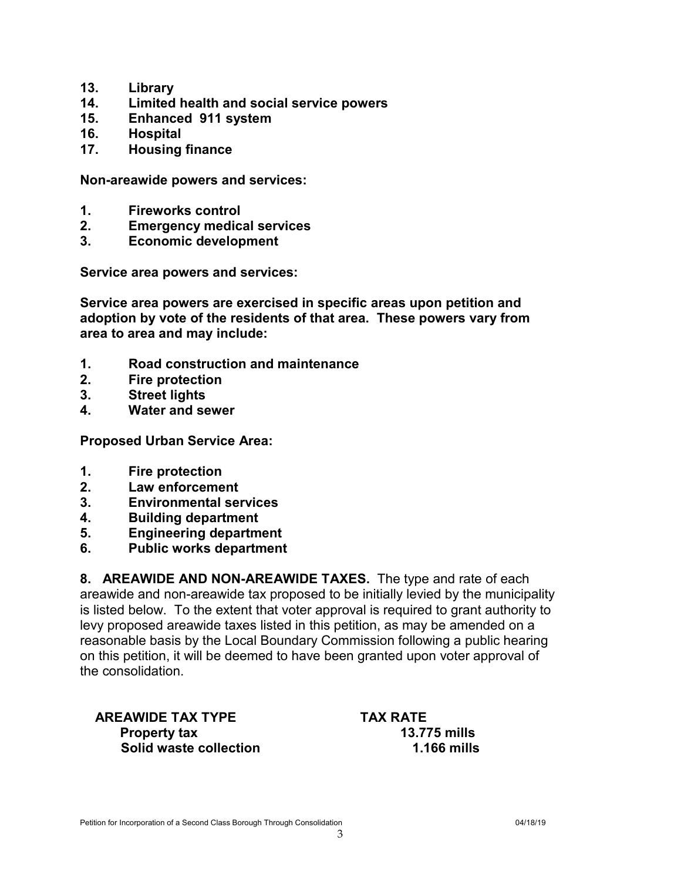- **13. Library**
- **14. Limited health and social service powers**
- **15. Enhanced 911 system**
- **16. Hospital**
- **17. Housing finance**

**Non-areawide powers and services:**

- **1. Fireworks control**
- **2. Emergency medical services**
- **3. Economic development**

**Service area powers and services:**

**Service area powers are exercised in specific areas upon petition and adoption by vote of the residents of that area. These powers vary from area to area and may include:**

- **1. Road construction and maintenance**
- **2. Fire protection**
- **3. Street lights**
- **4. Water and sewer**

**Proposed Urban Service Area:**

- **1. Fire protection**
- **2. Law enforcement**
- **3. Environmental services**
- **4. Building department**
- **5. Engineering department**
- **6. Public works department**

**8. AREAWIDE AND NON-AREAWIDE TAXES.** The type and rate of each areawide and non-areawide tax proposed to be initially levied by the municipality is listed below. To the extent that voter approval is required to grant authority to levy proposed areawide taxes listed in this petition, as may be amended on a reasonable basis by the Local Boundary Commission following a public hearing on this petition, it will be deemed to have been granted upon voter approval of the consolidation.

 **AREAWIDE TAX TYPE TAX RATE Property tax 13.775 mills Solid waste collection** 1.166 mills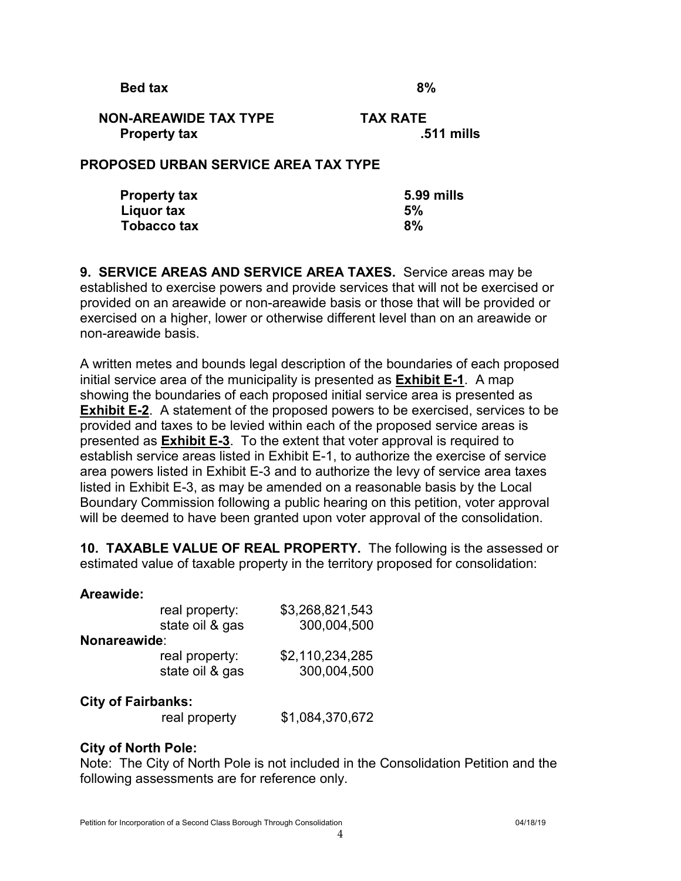**Bed tax** 8%

#### **NON-AREAWIDE TAX TYPE TAX RATE Property tax ... The Second Line Second Line Second Line Second Line Second Line Second Line Second Line Second Line Second Line Second Line Second Line Second Line Second Line Second Line Second Line Second Line Second L**

#### **PROPOSED URBAN SERVICE AREA TAX TYPE**

| <b>Property tax</b> | 5.99 mills |
|---------------------|------------|
| Liquor tax          | 5%         |
| Tobacco tax         | 8%         |

**9. SERVICE AREAS AND SERVICE AREA TAXES.** Service areas may be established to exercise powers and provide services that will not be exercised or provided on an areawide or non-areawide basis or those that will be provided or exercised on a higher, lower or otherwise different level than on an areawide or non-areawide basis.

A written metes and bounds legal description of the boundaries of each proposed initial service area of the municipality is presented as **Exhibit E-1**. A map showing the boundaries of each proposed initial service area is presented as **Exhibit E-2**. A statement of the proposed powers to be exercised, services to be provided and taxes to be levied within each of the proposed service areas is presented as **Exhibit E-3**. To the extent that voter approval is required to establish service areas listed in Exhibit E-1, to authorize the exercise of service area powers listed in Exhibit E-3 and to authorize the levy of service area taxes listed in Exhibit E-3, as may be amended on a reasonable basis by the Local Boundary Commission following a public hearing on this petition, voter approval will be deemed to have been granted upon voter approval of the consolidation.

**10. TAXABLE VALUE OF REAL PROPERTY.** The following is the assessed or estimated value of taxable property in the territory proposed for consolidation:

#### **Areawide:**

|              | real property:<br>state oil & gas | \$3,268,821,543<br>300,004,500 |
|--------------|-----------------------------------|--------------------------------|
| Nonareawide: |                                   |                                |
|              | real property:                    | \$2,110,234,285                |
|              | state oil & gas                   | 300,004,500                    |
|              |                                   |                                |

#### **City of Fairbanks:**

real property \$1,084,370,672

#### **City of North Pole:**

Note: The City of North Pole is not included in the Consolidation Petition and the following assessments are for reference only.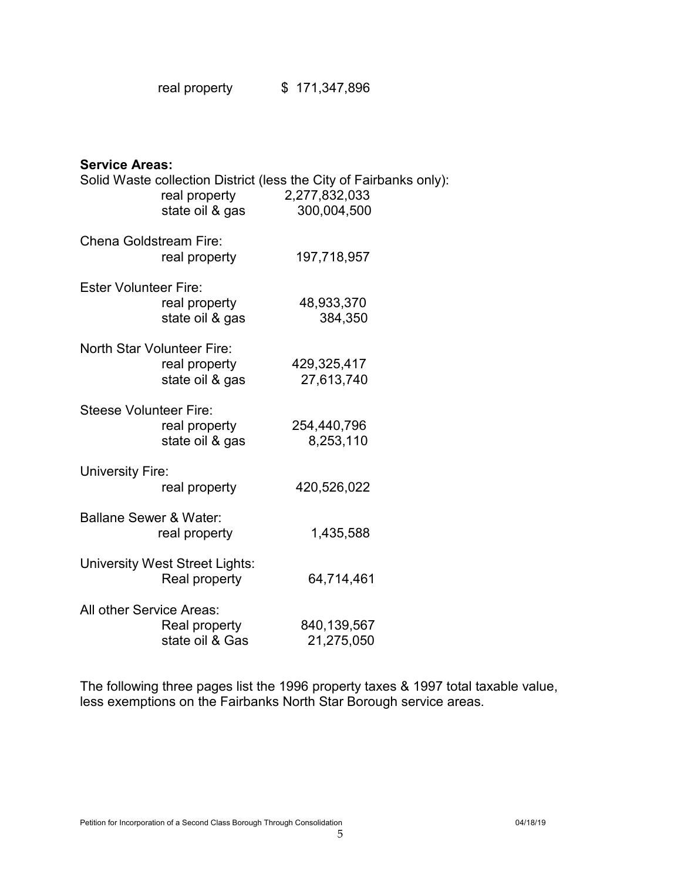| real property | \$171,347,896 |
|---------------|---------------|
|---------------|---------------|

| <b>Service Areas:</b>         |                                       |                                                                    |  |
|-------------------------------|---------------------------------------|--------------------------------------------------------------------|--|
|                               |                                       | Solid Waste collection District (less the City of Fairbanks only): |  |
|                               | state oil & gas                       | real property 2,277,832,033<br>300,004,500                         |  |
|                               |                                       |                                                                    |  |
| Chena Goldstream Fire:        |                                       |                                                                    |  |
|                               | real property                         | 197,718,957                                                        |  |
|                               |                                       |                                                                    |  |
| <b>Ester Volunteer Fire:</b>  |                                       |                                                                    |  |
|                               | real property                         | 48,933,370                                                         |  |
|                               | state oil & gas                       | 384,350                                                            |  |
|                               | North Star Volunteer Fire:            |                                                                    |  |
|                               | real property                         | 429,325,417                                                        |  |
|                               | state oil & gas                       | 27,613,740                                                         |  |
|                               |                                       |                                                                    |  |
| <b>Steese Volunteer Fire:</b> |                                       |                                                                    |  |
|                               | real property                         | 254,440,796                                                        |  |
|                               | state oil & gas                       | 8,253,110                                                          |  |
| <b>University Fire:</b>       |                                       |                                                                    |  |
|                               | real property                         | 420,526,022                                                        |  |
|                               |                                       |                                                                    |  |
| Ballane Sewer & Water:        |                                       |                                                                    |  |
|                               | real property                         | 1,435,588                                                          |  |
|                               |                                       |                                                                    |  |
|                               | <b>University West Street Lights:</b> |                                                                    |  |
|                               | Real property                         | 64,714,461                                                         |  |
| All other Service Areas:      |                                       |                                                                    |  |
|                               | Real property                         | 840,139,567                                                        |  |
|                               | state oil & Gas                       | 21,275,050                                                         |  |
|                               |                                       |                                                                    |  |

The following three pages list the 1996 property taxes & 1997 total taxable value, less exemptions on the Fairbanks North Star Borough service areas.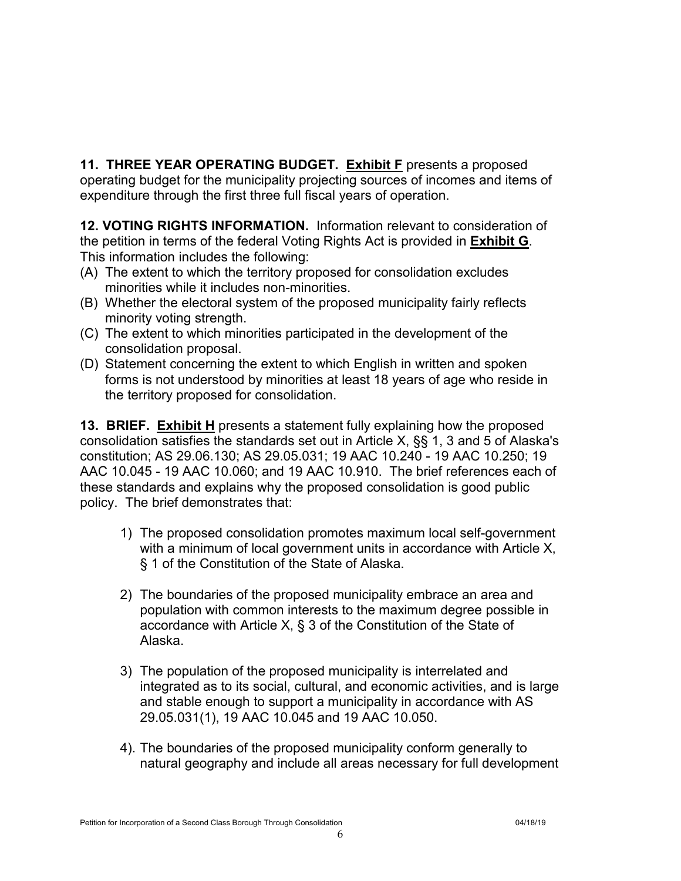**11. THREE YEAR OPERATING BUDGET. Exhibit F** presents a proposed operating budget for the municipality projecting sources of incomes and items of expenditure through the first three full fiscal years of operation.

**12. VOTING RIGHTS INFORMATION.** Information relevant to consideration of the petition in terms of the federal Voting Rights Act is provided in **Exhibit G**. This information includes the following:

- (A) The extent to which the territory proposed for consolidation excludes minorities while it includes non-minorities.
- (B) Whether the electoral system of the proposed municipality fairly reflects minority voting strength.
- (C) The extent to which minorities participated in the development of the consolidation proposal.
- (D) Statement concerning the extent to which English in written and spoken forms is not understood by minorities at least 18 years of age who reside in the territory proposed for consolidation.

**13. BRIEF. Exhibit H** presents a statement fully explaining how the proposed consolidation satisfies the standards set out in Article X, §§ 1, 3 and 5 of Alaska's constitution; AS 29.06.130; AS 29.05.031; 19 AAC 10.240 - 19 AAC 10.250; 19 AAC 10.045 - 19 AAC 10.060; and 19 AAC 10.910. The brief references each of these standards and explains why the proposed consolidation is good public policy. The brief demonstrates that:

- 1) The proposed consolidation promotes maximum local self-government with a minimum of local government units in accordance with Article X, § 1 of the Constitution of the State of Alaska.
- 2) The boundaries of the proposed municipality embrace an area and population with common interests to the maximum degree possible in accordance with Article X, § 3 of the Constitution of the State of Alaska.
- 3) The population of the proposed municipality is interrelated and integrated as to its social, cultural, and economic activities, and is large and stable enough to support a municipality in accordance with AS 29.05.031(1), 19 AAC 10.045 and 19 AAC 10.050.
- 4). The boundaries of the proposed municipality conform generally to natural geography and include all areas necessary for full development

6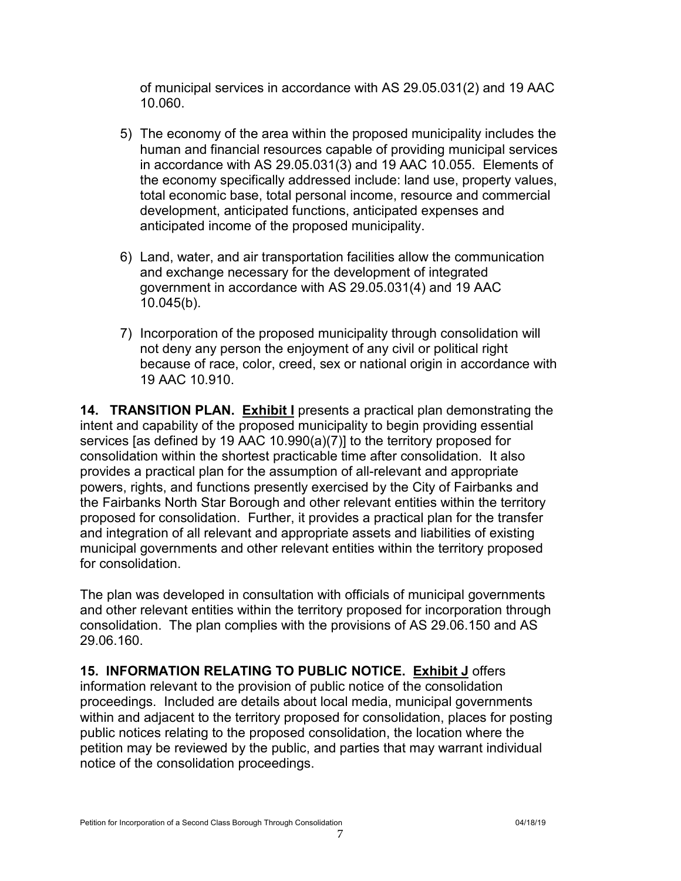of municipal services in accordance with AS 29.05.031(2) and 19 AAC 10.060.

- 5) The economy of the area within the proposed municipality includes the human and financial resources capable of providing municipal services in accordance with AS 29.05.031(3) and 19 AAC 10.055. Elements of the economy specifically addressed include: land use, property values, total economic base, total personal income, resource and commercial development, anticipated functions, anticipated expenses and anticipated income of the proposed municipality.
- 6) Land, water, and air transportation facilities allow the communication and exchange necessary for the development of integrated government in accordance with AS 29.05.031(4) and 19 AAC 10.045(b).
- 7) Incorporation of the proposed municipality through consolidation will not deny any person the enjoyment of any civil or political right because of race, color, creed, sex or national origin in accordance with 19 AAC 10.910.

**14. TRANSITION PLAN. Exhibit I** presents a practical plan demonstrating the intent and capability of the proposed municipality to begin providing essential services [as defined by 19 AAC 10.990(a)(7)] to the territory proposed for consolidation within the shortest practicable time after consolidation. It also provides a practical plan for the assumption of all-relevant and appropriate powers, rights, and functions presently exercised by the City of Fairbanks and the Fairbanks North Star Borough and other relevant entities within the territory proposed for consolidation. Further, it provides a practical plan for the transfer and integration of all relevant and appropriate assets and liabilities of existing municipal governments and other relevant entities within the territory proposed for consolidation.

The plan was developed in consultation with officials of municipal governments and other relevant entities within the territory proposed for incorporation through consolidation. The plan complies with the provisions of AS 29.06.150 and AS 29.06.160.

**15. INFORMATION RELATING TO PUBLIC NOTICE. Exhibit J** offers information relevant to the provision of public notice of the consolidation proceedings. Included are details about local media, municipal governments within and adjacent to the territory proposed for consolidation, places for posting public notices relating to the proposed consolidation, the location where the petition may be reviewed by the public, and parties that may warrant individual notice of the consolidation proceedings.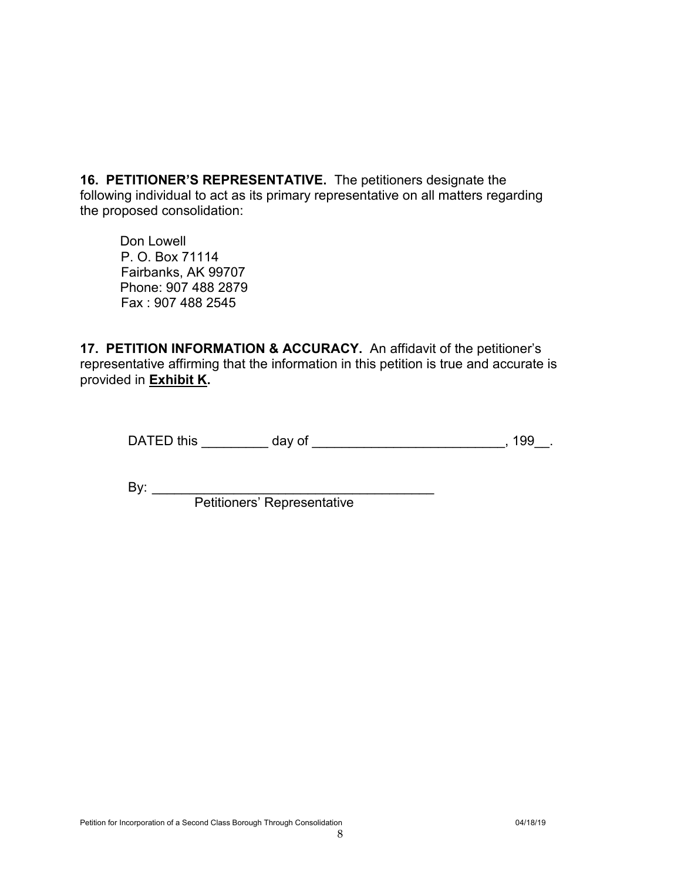**16. PETITIONER'S REPRESENTATIVE.** The petitioners designate the following individual to act as its primary representative on all matters regarding the proposed consolidation:

Don Lowell P. O. Box 71114 Fairbanks, AK 99707 Phone: 907 488 2879 Fax : 907 488 2545

**17. PETITION INFORMATION & ACCURACY.** An affidavit of the petitioner's representative affirming that the information in this petition is true and accurate is provided in **Exhibit K.**

DATED this \_\_\_\_\_\_\_\_\_\_ day of \_\_\_\_\_\_\_\_\_\_\_\_\_\_\_\_\_\_\_\_\_\_\_\_\_\_\_\_\_, 199\_\_.

By: \_\_\_\_\_\_\_\_\_\_\_\_\_\_\_\_\_\_\_\_\_\_\_\_\_\_\_\_\_\_\_\_\_\_\_\_\_\_

Petitioners' Representative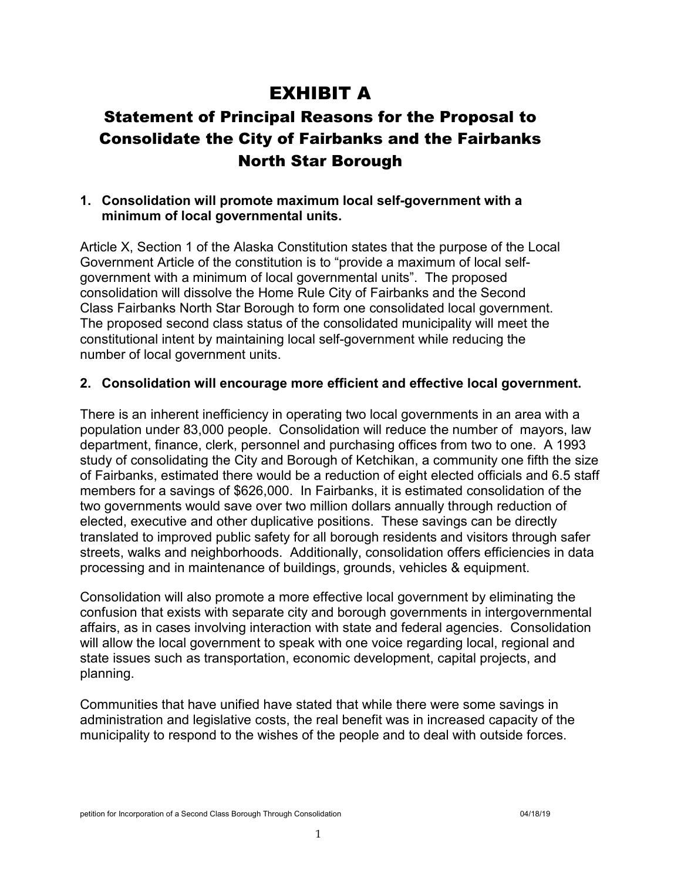# EXHIBIT A

### Statement of Principal Reasons for the Proposal to Consolidate the City of Fairbanks and the Fairbanks North Star Borough

#### **1. Consolidation will promote maximum local self-government with a minimum of local governmental units.**

Article X, Section 1 of the Alaska Constitution states that the purpose of the Local Government Article of the constitution is to "provide a maximum of local selfgovernment with a minimum of local governmental units". The proposed consolidation will dissolve the Home Rule City of Fairbanks and the Second Class Fairbanks North Star Borough to form one consolidated local government. The proposed second class status of the consolidated municipality will meet the constitutional intent by maintaining local self-government while reducing the number of local government units.

#### **2. Consolidation will encourage more efficient and effective local government.**

There is an inherent inefficiency in operating two local governments in an area with a population under 83,000 people. Consolidation will reduce the number of mayors, law department, finance, clerk, personnel and purchasing offices from two to one. A 1993 study of consolidating the City and Borough of Ketchikan, a community one fifth the size of Fairbanks, estimated there would be a reduction of eight elected officials and 6.5 staff members for a savings of \$626,000. In Fairbanks, it is estimated consolidation of the two governments would save over two million dollars annually through reduction of elected, executive and other duplicative positions. These savings can be directly translated to improved public safety for all borough residents and visitors through safer streets, walks and neighborhoods. Additionally, consolidation offers efficiencies in data processing and in maintenance of buildings, grounds, vehicles & equipment.

Consolidation will also promote a more effective local government by eliminating the confusion that exists with separate city and borough governments in intergovernmental affairs, as in cases involving interaction with state and federal agencies. Consolidation will allow the local government to speak with one voice regarding local, regional and state issues such as transportation, economic development, capital projects, and planning.

Communities that have unified have stated that while there were some savings in administration and legislative costs, the real benefit was in increased capacity of the municipality to respond to the wishes of the people and to deal with outside forces.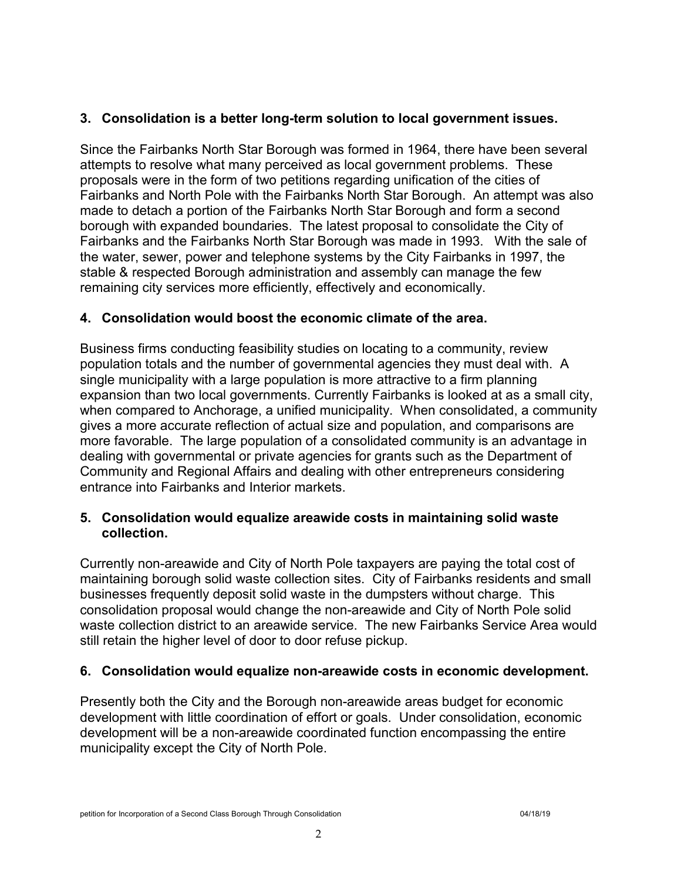#### **3. Consolidation is a better long-term solution to local government issues.**

Since the Fairbanks North Star Borough was formed in 1964, there have been several attempts to resolve what many perceived as local government problems. These proposals were in the form of two petitions regarding unification of the cities of Fairbanks and North Pole with the Fairbanks North Star Borough. An attempt was also made to detach a portion of the Fairbanks North Star Borough and form a second borough with expanded boundaries. The latest proposal to consolidate the City of Fairbanks and the Fairbanks North Star Borough was made in 1993. With the sale of the water, sewer, power and telephone systems by the City Fairbanks in 1997, the stable & respected Borough administration and assembly can manage the few remaining city services more efficiently, effectively and economically.

#### **4. Consolidation would boost the economic climate of the area.**

Business firms conducting feasibility studies on locating to a community, review population totals and the number of governmental agencies they must deal with. A single municipality with a large population is more attractive to a firm planning expansion than two local governments. Currently Fairbanks is looked at as a small city, when compared to Anchorage, a unified municipality. When consolidated, a community gives a more accurate reflection of actual size and population, and comparisons are more favorable. The large population of a consolidated community is an advantage in dealing with governmental or private agencies for grants such as the Department of Community and Regional Affairs and dealing with other entrepreneurs considering entrance into Fairbanks and Interior markets.

#### **5. Consolidation would equalize areawide costs in maintaining solid waste collection.**

Currently non-areawide and City of North Pole taxpayers are paying the total cost of maintaining borough solid waste collection sites. City of Fairbanks residents and small businesses frequently deposit solid waste in the dumpsters without charge. This consolidation proposal would change the non-areawide and City of North Pole solid waste collection district to an areawide service. The new Fairbanks Service Area would still retain the higher level of door to door refuse pickup.

#### **6. Consolidation would equalize non-areawide costs in economic development.**

Presently both the City and the Borough non-areawide areas budget for economic development with little coordination of effort or goals. Under consolidation, economic development will be a non-areawide coordinated function encompassing the entire municipality except the City of North Pole.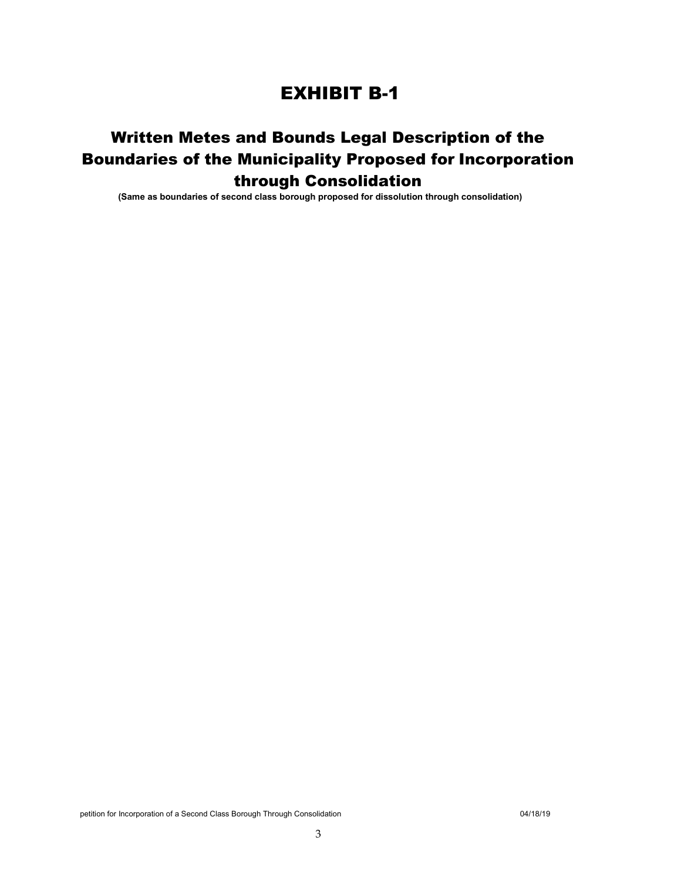### EXHIBIT B-1

### Written Metes and Bounds Legal Description of the Boundaries of the Municipality Proposed for Incorporation through Consolidation

**(Same as boundaries of second class borough proposed for dissolution through consolidation)**

petition for Incorporation of a Second Class Borough Through Consolidation 04/18/19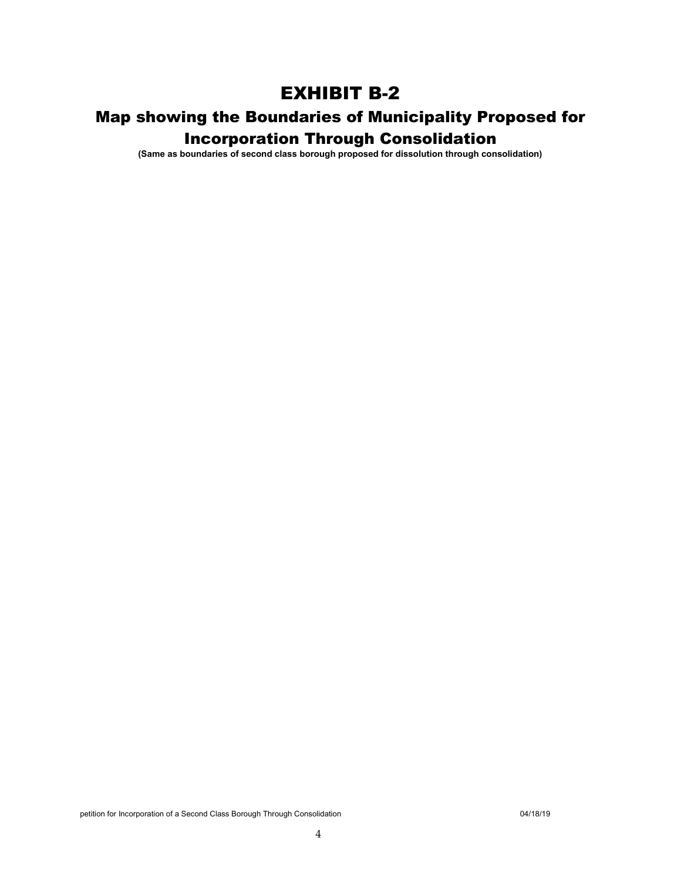### EXHIBIT B-2

# Map showing the Boundaries of Municipality Proposed for

Incorporation Through Consolidation

**(Same as boundaries of second class borough proposed for dissolution through consolidation)**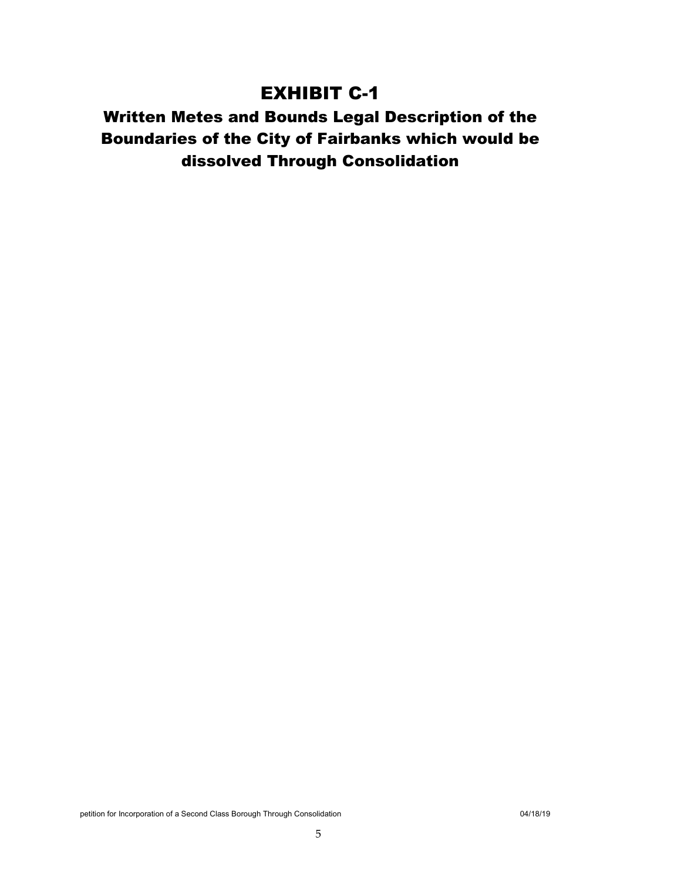### EXHIBIT C-1

### Written Metes and Bounds Legal Description of the Boundaries of the City of Fairbanks which would be dissolved Through Consolidation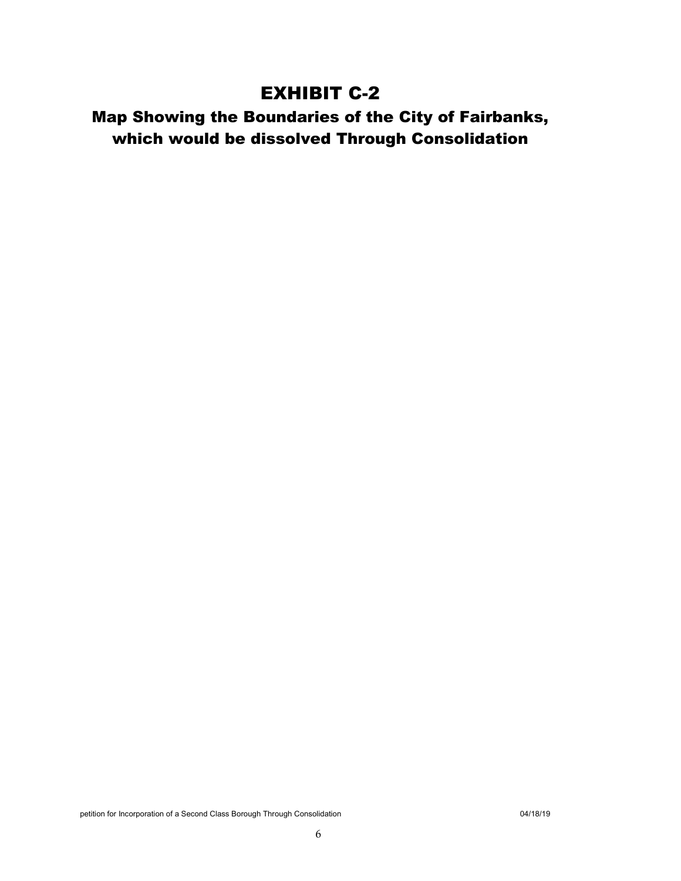### EXHIBIT C-2

### Map Showing the Boundaries of the City of Fairbanks, which would be dissolved Through Consolidation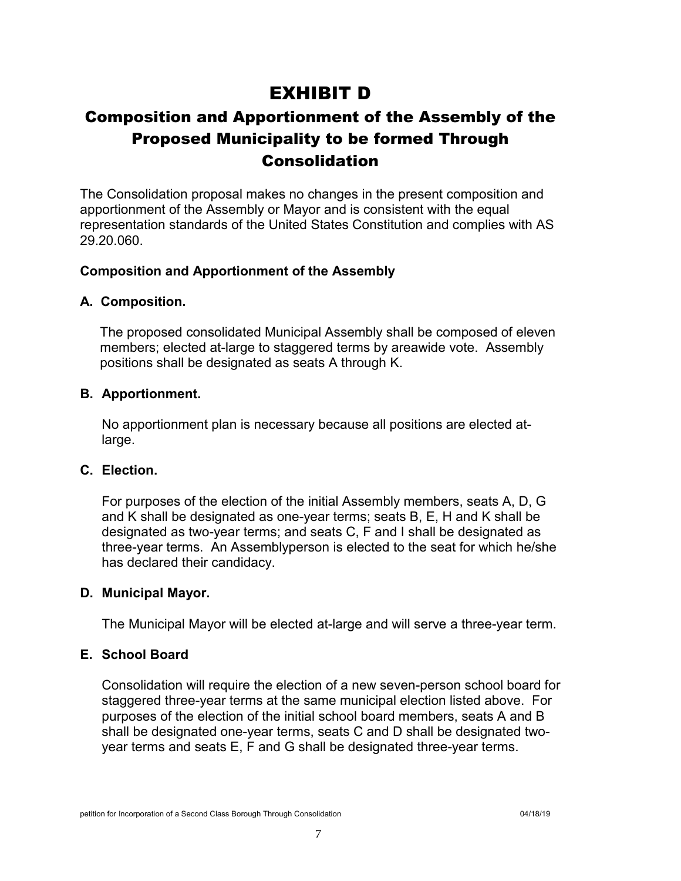### EXHIBIT D

### Composition and Apportionment of the Assembly of the Proposed Municipality to be formed Through Consolidation

The Consolidation proposal makes no changes in the present composition and apportionment of the Assembly or Mayor and is consistent with the equal representation standards of the United States Constitution and complies with AS 29.20.060.

#### **Composition and Apportionment of the Assembly**

#### **A. Composition.**

The proposed consolidated Municipal Assembly shall be composed of eleven members; elected at-large to staggered terms by areawide vote. Assembly positions shall be designated as seats A through K.

#### **B. Apportionment.**

No apportionment plan is necessary because all positions are elected atlarge.

#### **C. Election.**

For purposes of the election of the initial Assembly members, seats A, D, G and K shall be designated as one-year terms; seats B, E, H and K shall be designated as two-year terms; and seats C, F and I shall be designated as three-year terms. An Assemblyperson is elected to the seat for which he/she has declared their candidacy.

#### **D. Municipal Mayor.**

The Municipal Mayor will be elected at-large and will serve a three-year term.

#### **E. School Board**

Consolidation will require the election of a new seven-person school board for staggered three-year terms at the same municipal election listed above. For purposes of the election of the initial school board members, seats A and B shall be designated one-year terms, seats C and D shall be designated twoyear terms and seats E, F and G shall be designated three-year terms.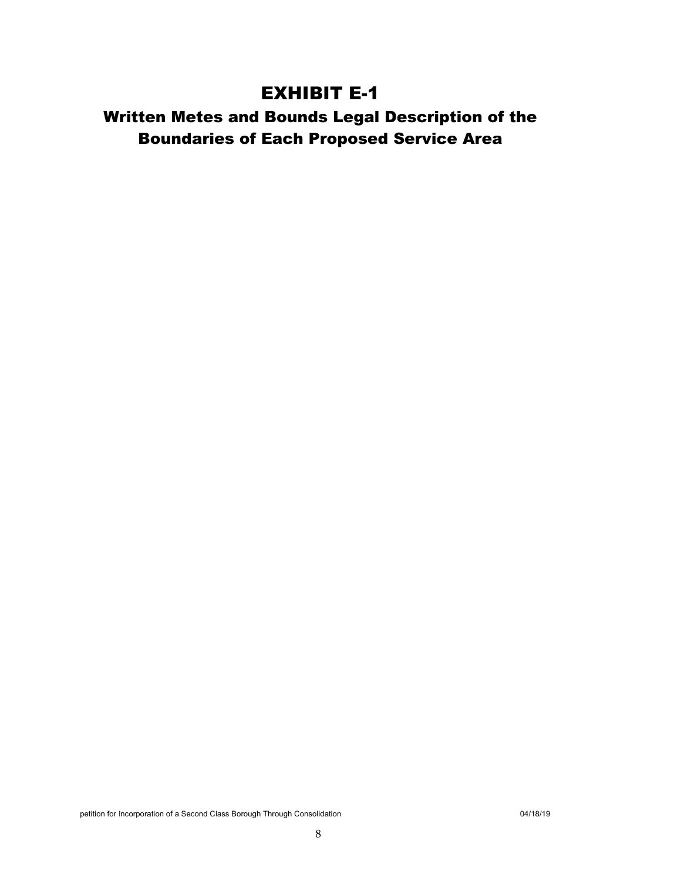### EXHIBIT E-1

### Written Metes and Bounds Legal Description of the Boundaries of Each Proposed Service Area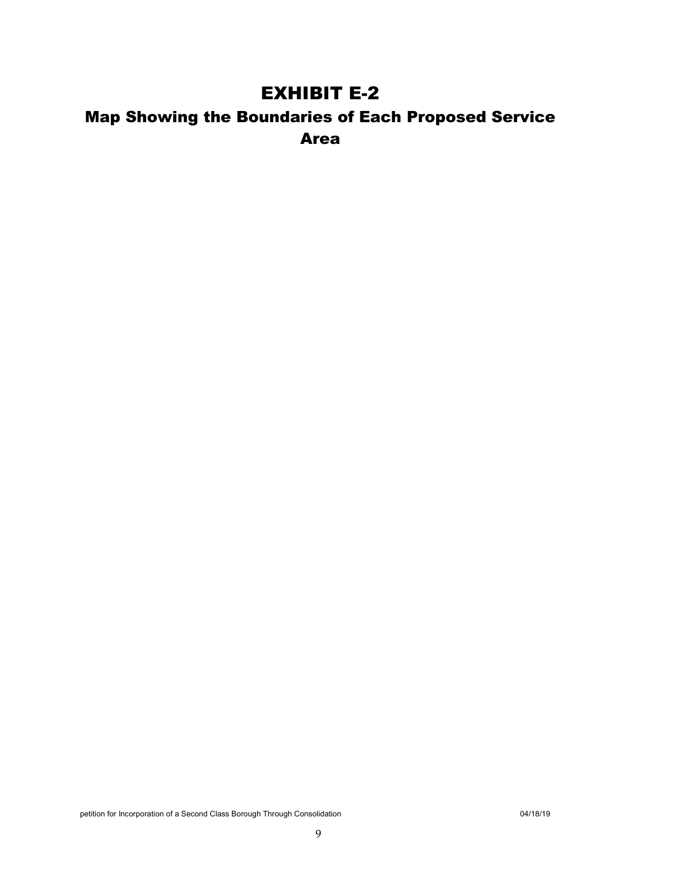### EXHIBIT E-2

### Map Showing the Boundaries of Each Proposed Service Area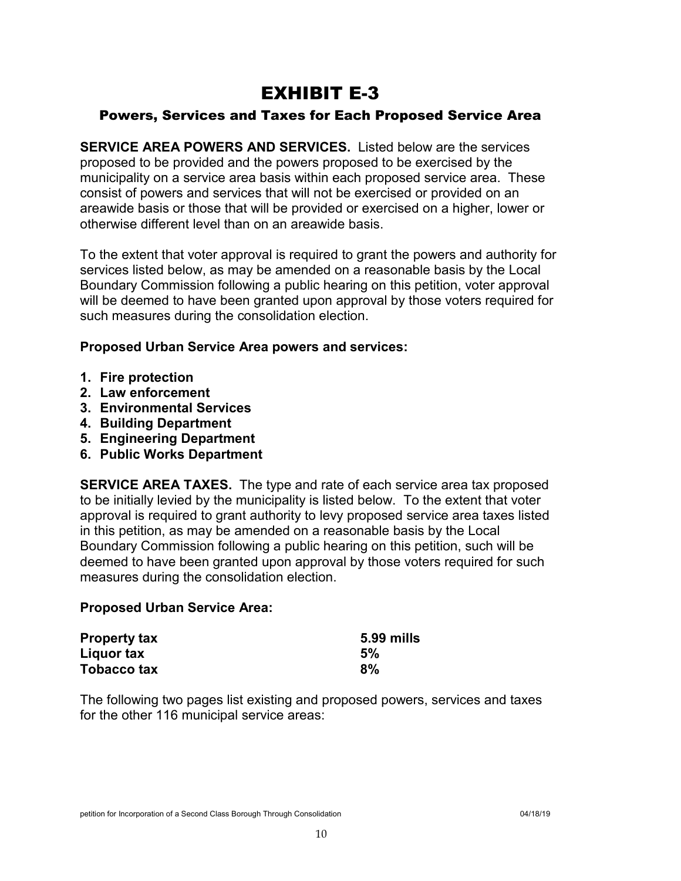### EXHIBIT E-3

#### Powers, Services and Taxes for Each Proposed Service Area

**SERVICE AREA POWERS AND SERVICES.** Listed below are the services proposed to be provided and the powers proposed to be exercised by the municipality on a service area basis within each proposed service area. These consist of powers and services that will not be exercised or provided on an areawide basis or those that will be provided or exercised on a higher, lower or otherwise different level than on an areawide basis.

To the extent that voter approval is required to grant the powers and authority for services listed below, as may be amended on a reasonable basis by the Local Boundary Commission following a public hearing on this petition, voter approval will be deemed to have been granted upon approval by those voters required for such measures during the consolidation election.

#### **Proposed Urban Service Area powers and services:**

- **1. Fire protection**
- **2. Law enforcement**
- **3. Environmental Services**
- **4. Building Department**
- **5. Engineering Department**
- **6. Public Works Department**

**SERVICE AREA TAXES.** The type and rate of each service area tax proposed to be initially levied by the municipality is listed below. To the extent that voter approval is required to grant authority to levy proposed service area taxes listed in this petition, as may be amended on a reasonable basis by the Local Boundary Commission following a public hearing on this petition, such will be deemed to have been granted upon approval by those voters required for such measures during the consolidation election.

#### **Proposed Urban Service Area:**

| <b>Property tax</b> | 5.99 mills |
|---------------------|------------|
| Liquor tax          | 5%         |
| Tobacco tax         | 8%         |

The following two pages list existing and proposed powers, services and taxes for the other 116 municipal service areas: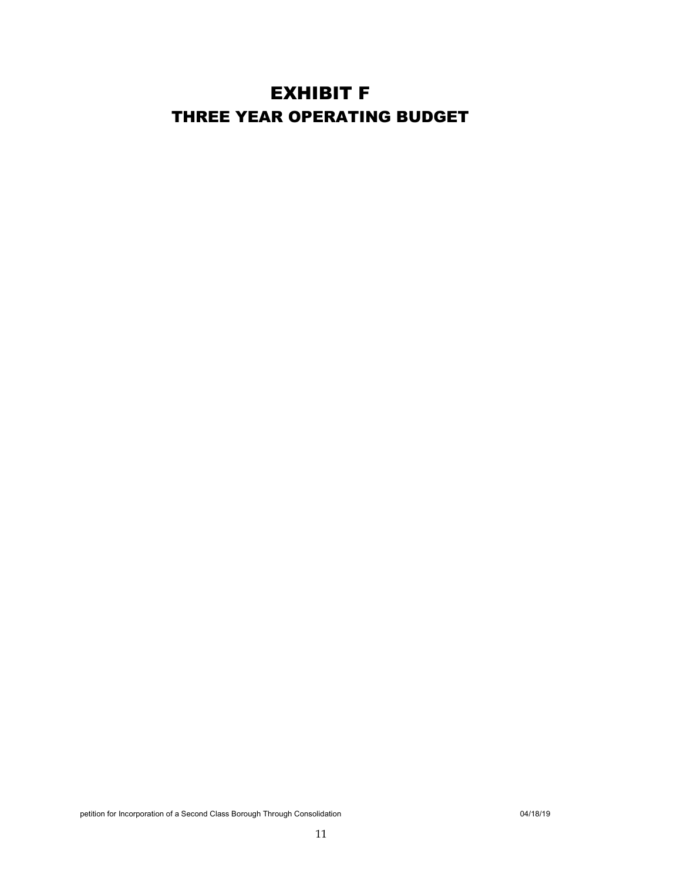### EXHIBIT F THREE YEAR OPERATING BUDGET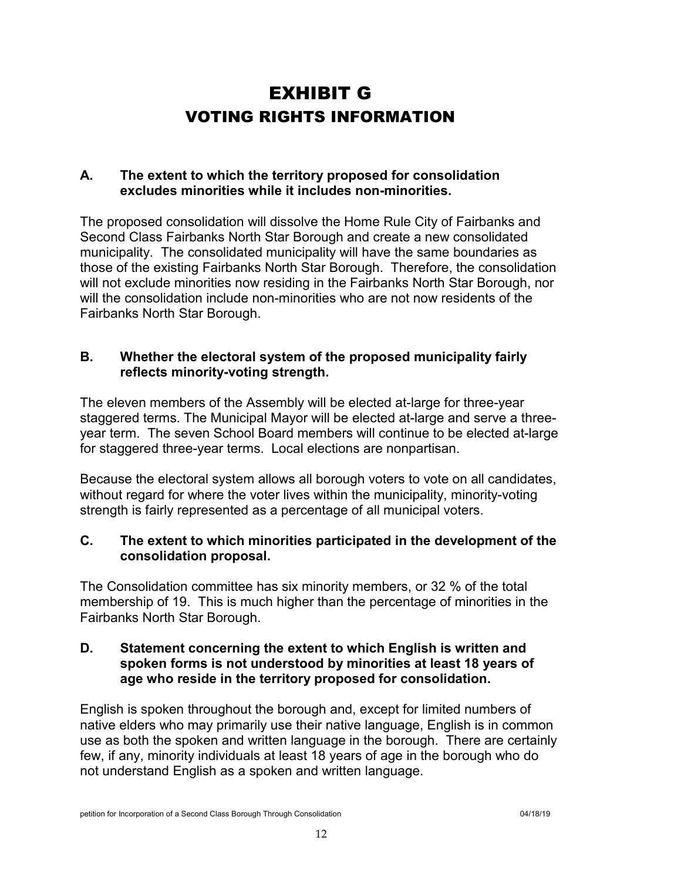## EXHIBIT G VOTING RIGHTS INFORMATION

#### **A. The extent to which the territory proposed for consolidation excludes minorities while it includes non-minorities.**

The proposed consolidation will dissolve the Home Rule City of Fairbanks and Second Class Fairbanks North Star Borough and create a new consolidated municipality. The consolidated municipality will have the same boundaries as those of the existing Fairbanks North Star Borough. Therefore, the consolidation will not exclude minorities now residing in the Fairbanks North Star Borough, nor will the consolidation include non-minorities who are not now residents of the Fairbanks North Star Borough.

#### **B. Whether the electoral system of the proposed municipality fairly reflects minority-voting strength.**

The eleven members of the Assembly will be elected at-large for three-year staggered terms. The Municipal Mayor will be elected at-large and serve a threeyear term. The seven School Board members will continue to be elected at-large for staggered three-year terms. Local elections are nonpartisan.

Because the electoral system allows all borough voters to vote on all candidates, without regard for where the voter lives within the municipality, minority-voting strength is fairly represented as a percentage of all municipal voters.

#### **C. The extent to which minorities participated in the development of the consolidation proposal.**

The Consolidation committee has six minority members, or 32 % of the total membership of 19. This is much higher than the percentage of minorities in the Fairbanks North Star Borough.

#### **D. Statement concerning the extent to which English is written and spoken forms is not understood by minorities at least 18 years of age who reside in the territory proposed for consolidation.**

English is spoken throughout the borough and, except for limited numbers of native elders who may primarily use their native language, English is in common use as both the spoken and written language in the borough. There are certainly few, if any, minority individuals at least 18 years of age in the borough who do not understand English as a spoken and written language.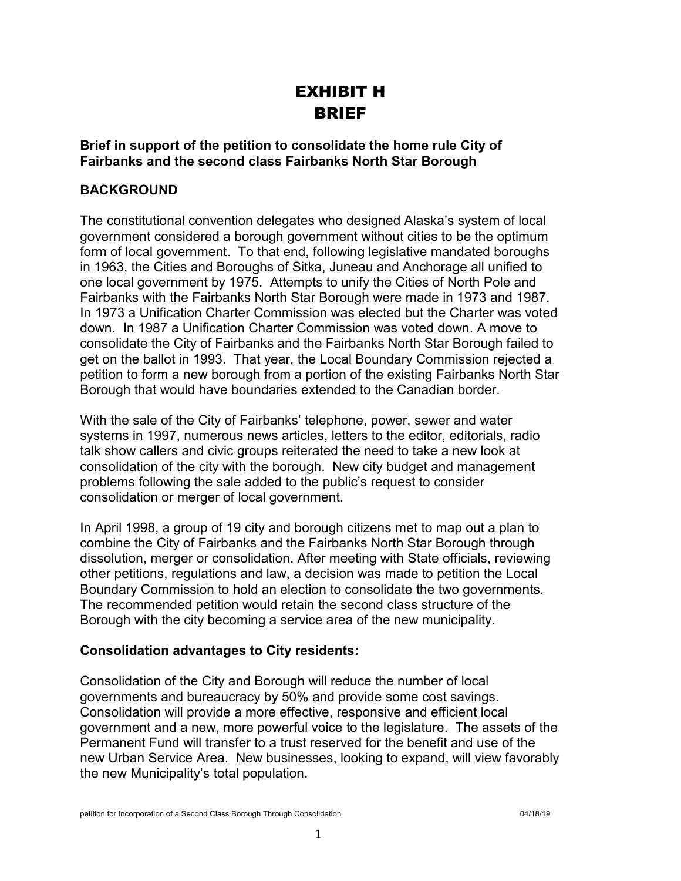### EXHIBIT H BRIEF

#### **Brief in support of the petition to consolidate the home rule City of Fairbanks and the second class Fairbanks North Star Borough**

#### **BACKGROUND**

The constitutional convention delegates who designed Alaska's system of local government considered a borough government without cities to be the optimum form of local government. To that end, following legislative mandated boroughs in 1963, the Cities and Boroughs of Sitka, Juneau and Anchorage all unified to one local government by 1975. Attempts to unify the Cities of North Pole and Fairbanks with the Fairbanks North Star Borough were made in 1973 and 1987. In 1973 a Unification Charter Commission was elected but the Charter was voted down. In 1987 a Unification Charter Commission was voted down. A move to consolidate the City of Fairbanks and the Fairbanks North Star Borough failed to get on the ballot in 1993. That year, the Local Boundary Commission rejected a petition to form a new borough from a portion of the existing Fairbanks North Star Borough that would have boundaries extended to the Canadian border.

With the sale of the City of Fairbanks' telephone, power, sewer and water systems in 1997, numerous news articles, letters to the editor, editorials, radio talk show callers and civic groups reiterated the need to take a new look at consolidation of the city with the borough. New city budget and management problems following the sale added to the public's request to consider consolidation or merger of local government.

In April 1998, a group of 19 city and borough citizens met to map out a plan to combine the City of Fairbanks and the Fairbanks North Star Borough through dissolution, merger or consolidation. After meeting with State officials, reviewing other petitions, regulations and law, a decision was made to petition the Local Boundary Commission to hold an election to consolidate the two governments. The recommended petition would retain the second class structure of the Borough with the city becoming a service area of the new municipality.

#### **Consolidation advantages to City residents:**

Consolidation of the City and Borough will reduce the number of local governments and bureaucracy by 50% and provide some cost savings. Consolidation will provide a more effective, responsive and efficient local government and a new, more powerful voice to the legislature. The assets of the Permanent Fund will transfer to a trust reserved for the benefit and use of the new Urban Service Area. New businesses, looking to expand, will view favorably the new Municipality's total population.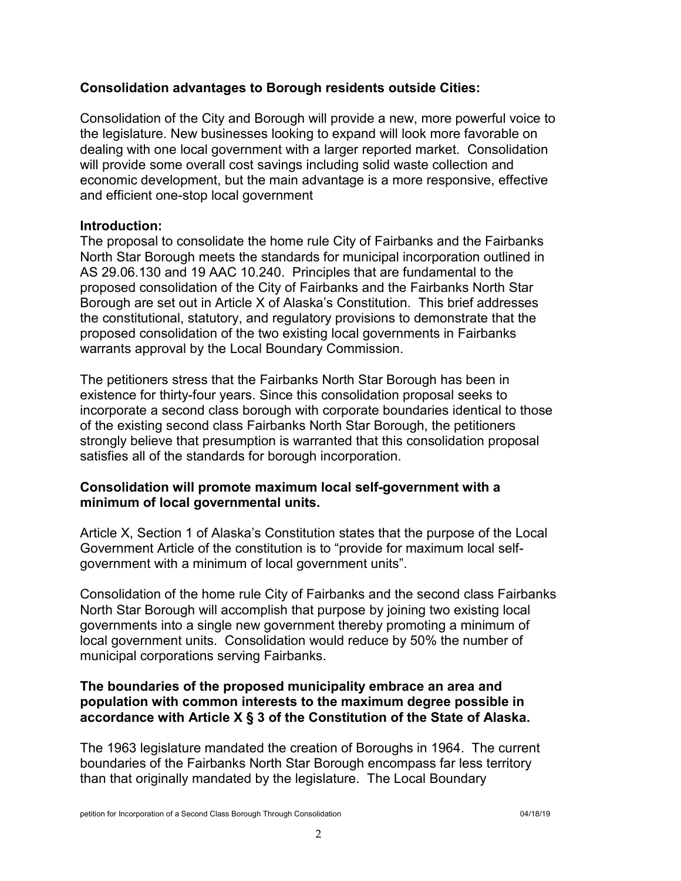#### **Consolidation advantages to Borough residents outside Cities:**

Consolidation of the City and Borough will provide a new, more powerful voice to the legislature. New businesses looking to expand will look more favorable on dealing with one local government with a larger reported market. Consolidation will provide some overall cost savings including solid waste collection and economic development, but the main advantage is a more responsive, effective and efficient one-stop local government

#### **Introduction:**

The proposal to consolidate the home rule City of Fairbanks and the Fairbanks North Star Borough meets the standards for municipal incorporation outlined in AS 29.06.130 and 19 AAC 10.240. Principles that are fundamental to the proposed consolidation of the City of Fairbanks and the Fairbanks North Star Borough are set out in Article X of Alaska's Constitution. This brief addresses the constitutional, statutory, and regulatory provisions to demonstrate that the proposed consolidation of the two existing local governments in Fairbanks warrants approval by the Local Boundary Commission.

The petitioners stress that the Fairbanks North Star Borough has been in existence for thirty-four years. Since this consolidation proposal seeks to incorporate a second class borough with corporate boundaries identical to those of the existing second class Fairbanks North Star Borough, the petitioners strongly believe that presumption is warranted that this consolidation proposal satisfies all of the standards for borough incorporation.

#### **Consolidation will promote maximum local self-government with a minimum of local governmental units.**

Article X, Section 1 of Alaska's Constitution states that the purpose of the Local Government Article of the constitution is to "provide for maximum local selfgovernment with a minimum of local government units".

Consolidation of the home rule City of Fairbanks and the second class Fairbanks North Star Borough will accomplish that purpose by joining two existing local governments into a single new government thereby promoting a minimum of local government units. Consolidation would reduce by 50% the number of municipal corporations serving Fairbanks.

#### **The boundaries of the proposed municipality embrace an area and population with common interests to the maximum degree possible in accordance with Article X § 3 of the Constitution of the State of Alaska.**

The 1963 legislature mandated the creation of Boroughs in 1964. The current boundaries of the Fairbanks North Star Borough encompass far less territory than that originally mandated by the legislature. The Local Boundary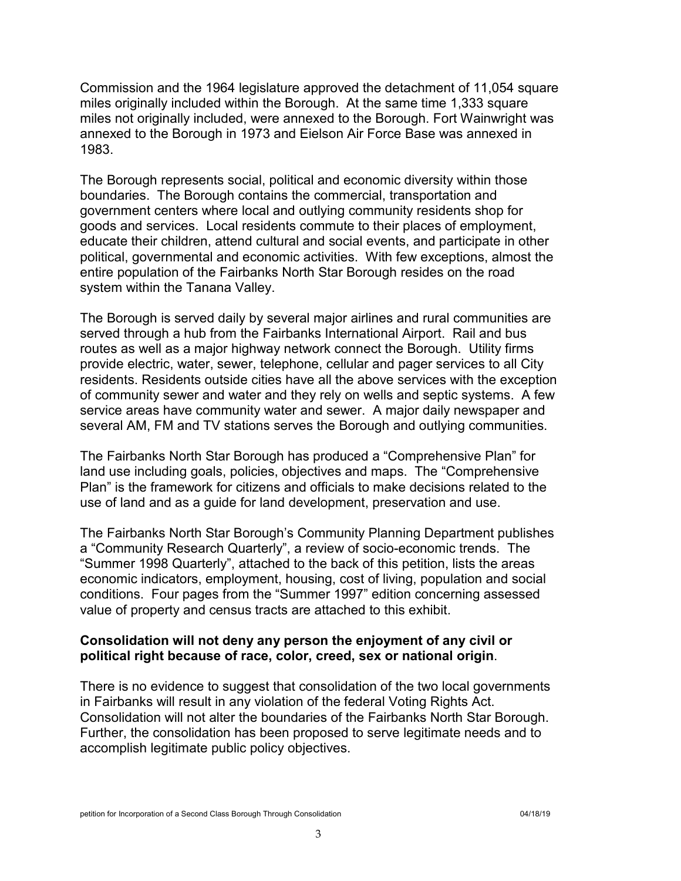Commission and the 1964 legislature approved the detachment of 11,054 square miles originally included within the Borough. At the same time 1,333 square miles not originally included, were annexed to the Borough. Fort Wainwright was annexed to the Borough in 1973 and Eielson Air Force Base was annexed in 1983.

The Borough represents social, political and economic diversity within those boundaries. The Borough contains the commercial, transportation and government centers where local and outlying community residents shop for goods and services. Local residents commute to their places of employment, educate their children, attend cultural and social events, and participate in other political, governmental and economic activities. With few exceptions, almost the entire population of the Fairbanks North Star Borough resides on the road system within the Tanana Valley.

The Borough is served daily by several major airlines and rural communities are served through a hub from the Fairbanks International Airport. Rail and bus routes as well as a major highway network connect the Borough. Utility firms provide electric, water, sewer, telephone, cellular and pager services to all City residents. Residents outside cities have all the above services with the exception of community sewer and water and they rely on wells and septic systems. A few service areas have community water and sewer. A major daily newspaper and several AM, FM and TV stations serves the Borough and outlying communities.

The Fairbanks North Star Borough has produced a "Comprehensive Plan" for land use including goals, policies, objectives and maps. The "Comprehensive Plan" is the framework for citizens and officials to make decisions related to the use of land and as a guide for land development, preservation and use.

The Fairbanks North Star Borough's Community Planning Department publishes a "Community Research Quarterly", a review of socio-economic trends. The "Summer 1998 Quarterly", attached to the back of this petition, lists the areas economic indicators, employment, housing, cost of living, population and social conditions. Four pages from the "Summer 1997" edition concerning assessed value of property and census tracts are attached to this exhibit.

#### **Consolidation will not deny any person the enjoyment of any civil or political right because of race, color, creed, sex or national origin**.

There is no evidence to suggest that consolidation of the two local governments in Fairbanks will result in any violation of the federal Voting Rights Act. Consolidation will not alter the boundaries of the Fairbanks North Star Borough. Further, the consolidation has been proposed to serve legitimate needs and to accomplish legitimate public policy objectives.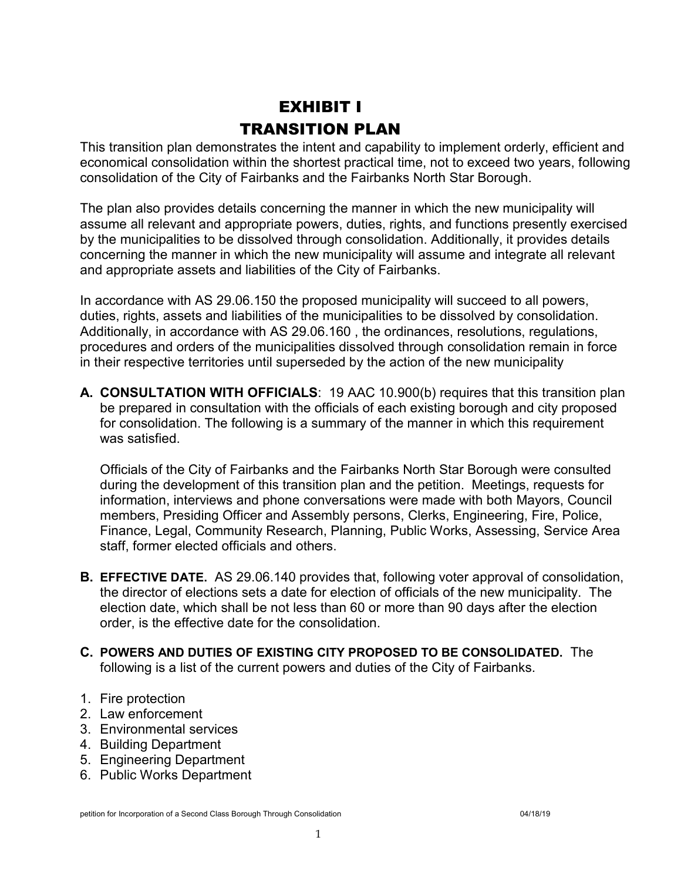### EXHIBIT I TRANSITION PLAN

This transition plan demonstrates the intent and capability to implement orderly, efficient and economical consolidation within the shortest practical time, not to exceed two years, following consolidation of the City of Fairbanks and the Fairbanks North Star Borough.

The plan also provides details concerning the manner in which the new municipality will assume all relevant and appropriate powers, duties, rights, and functions presently exercised by the municipalities to be dissolved through consolidation. Additionally, it provides details concerning the manner in which the new municipality will assume and integrate all relevant and appropriate assets and liabilities of the City of Fairbanks.

In accordance with AS 29.06.150 the proposed municipality will succeed to all powers, duties, rights, assets and liabilities of the municipalities to be dissolved by consolidation. Additionally, in accordance with AS 29.06.160 , the ordinances, resolutions, regulations, procedures and orders of the municipalities dissolved through consolidation remain in force in their respective territories until superseded by the action of the new municipality

**A. CONSULTATION WITH OFFICIALS**: 19 AAC 10.900(b) requires that this transition plan be prepared in consultation with the officials of each existing borough and city proposed for consolidation. The following is a summary of the manner in which this requirement was satisfied.

Officials of the City of Fairbanks and the Fairbanks North Star Borough were consulted during the development of this transition plan and the petition. Meetings, requests for information, interviews and phone conversations were made with both Mayors, Council members, Presiding Officer and Assembly persons, Clerks, Engineering, Fire, Police, Finance, Legal, Community Research, Planning, Public Works, Assessing, Service Area staff, former elected officials and others.

- **B. EFFECTIVE DATE.** AS 29.06.140 provides that, following voter approval of consolidation, the director of elections sets a date for election of officials of the new municipality. The election date, which shall be not less than 60 or more than 90 days after the election order, is the effective date for the consolidation.
- **C. POWERS AND DUTIES OF EXISTING CITY PROPOSED TO BE CONSOLIDATED.** The following is a list of the current powers and duties of the City of Fairbanks.
- 1. Fire protection
- 2. Law enforcement
- 3. Environmental services
- 4. Building Department
- 5. Engineering Department
- 6. Public Works Department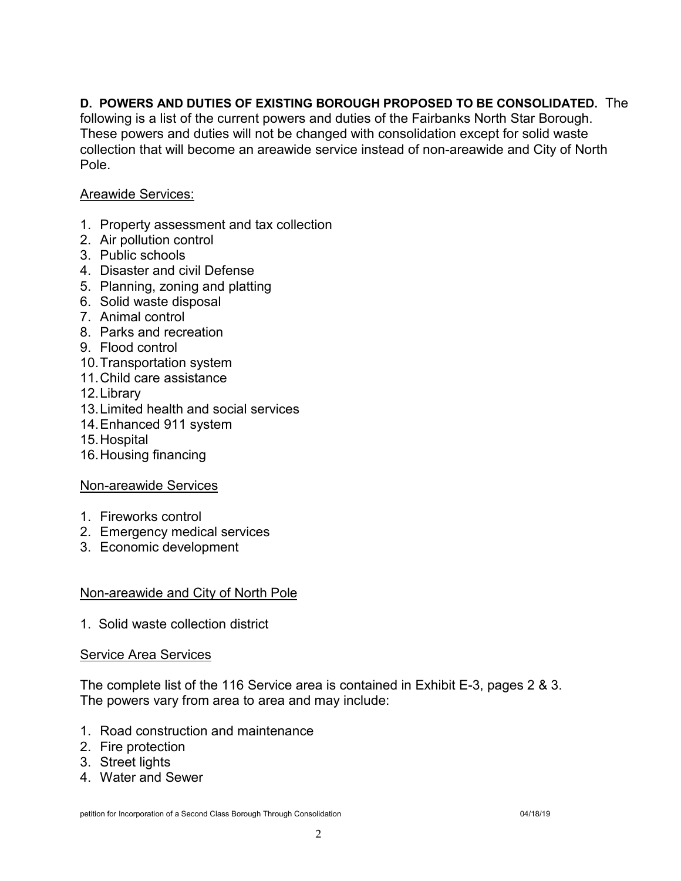#### **D. POWERS AND DUTIES OF EXISTING BOROUGH PROPOSED TO BE CONSOLIDATED.** The

following is a list of the current powers and duties of the Fairbanks North Star Borough. These powers and duties will not be changed with consolidation except for solid waste collection that will become an areawide service instead of non-areawide and City of North Pole.

#### Areawide Services:

- 1. Property assessment and tax collection
- 2. Air pollution control
- 3. Public schools
- 4. Disaster and civil Defense
- 5. Planning, zoning and platting
- 6. Solid waste disposal
- 7. Animal control
- 8. Parks and recreation
- 9. Flood control
- 10.Transportation system
- 11.Child care assistance
- 12.Library
- 13.Limited health and social services
- 14.Enhanced 911 system
- 15.Hospital
- 16.Housing financing

#### Non-areawide Services

- 1. Fireworks control
- 2. Emergency medical services
- 3. Economic development

#### Non-areawide and City of North Pole

1. Solid waste collection district

#### Service Area Services

The complete list of the 116 Service area is contained in Exhibit E-3, pages 2 & 3. The powers vary from area to area and may include:

- 1. Road construction and maintenance
- 2. Fire protection
- 3. Street lights
- 4. Water and Sewer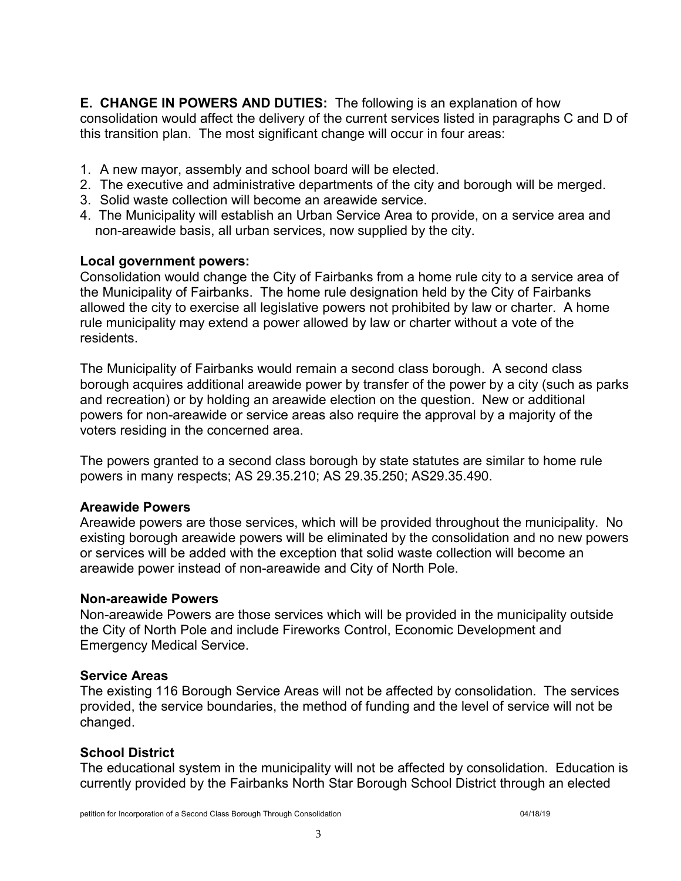**E. CHANGE IN POWERS AND DUTIES:** The following is an explanation of how consolidation would affect the delivery of the current services listed in paragraphs C and D of this transition plan. The most significant change will occur in four areas:

- 1. A new mayor, assembly and school board will be elected.
- 2. The executive and administrative departments of the city and borough will be merged.
- 3. Solid waste collection will become an areawide service.
- 4. The Municipality will establish an Urban Service Area to provide, on a service area and non-areawide basis, all urban services, now supplied by the city.

#### **Local government powers:**

Consolidation would change the City of Fairbanks from a home rule city to a service area of the Municipality of Fairbanks. The home rule designation held by the City of Fairbanks allowed the city to exercise all legislative powers not prohibited by law or charter. A home rule municipality may extend a power allowed by law or charter without a vote of the residents.

The Municipality of Fairbanks would remain a second class borough. A second class borough acquires additional areawide power by transfer of the power by a city (such as parks and recreation) or by holding an areawide election on the question. New or additional powers for non-areawide or service areas also require the approval by a majority of the voters residing in the concerned area.

The powers granted to a second class borough by state statutes are similar to home rule powers in many respects; AS 29.35.210; AS 29.35.250; AS29.35.490.

#### **Areawide Powers**

Areawide powers are those services, which will be provided throughout the municipality. No existing borough areawide powers will be eliminated by the consolidation and no new powers or services will be added with the exception that solid waste collection will become an areawide power instead of non-areawide and City of North Pole.

#### **Non-areawide Powers**

Non-areawide Powers are those services which will be provided in the municipality outside the City of North Pole and include Fireworks Control, Economic Development and Emergency Medical Service.

#### **Service Areas**

The existing 116 Borough Service Areas will not be affected by consolidation. The services provided, the service boundaries, the method of funding and the level of service will not be changed.

#### **School District**

The educational system in the municipality will not be affected by consolidation. Education is currently provided by the Fairbanks North Star Borough School District through an elected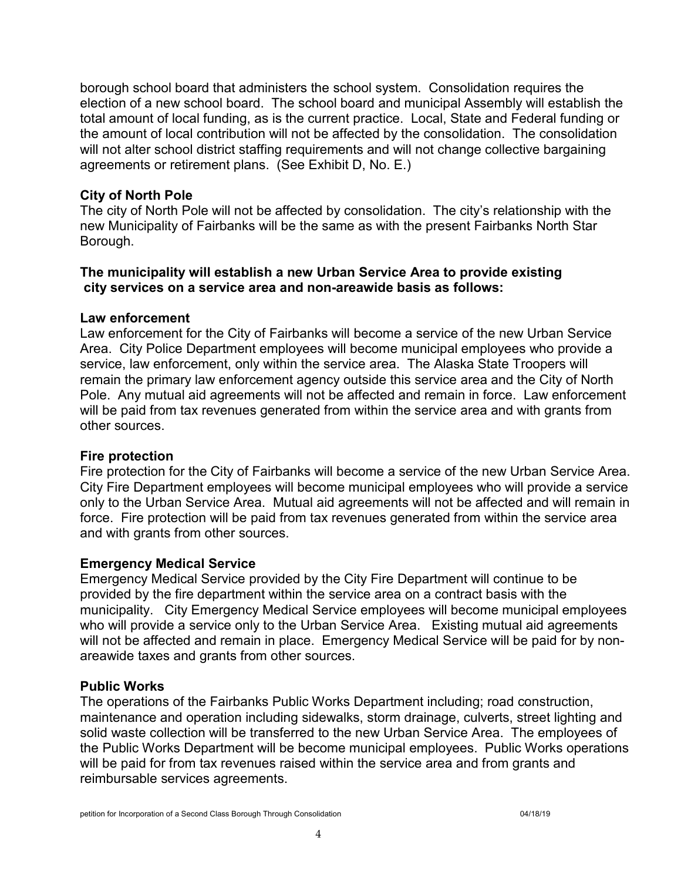borough school board that administers the school system. Consolidation requires the election of a new school board. The school board and municipal Assembly will establish the total amount of local funding, as is the current practice. Local, State and Federal funding or the amount of local contribution will not be affected by the consolidation. The consolidation will not alter school district staffing requirements and will not change collective bargaining agreements or retirement plans. (See Exhibit D, No. E.)

#### **City of North Pole**

The city of North Pole will not be affected by consolidation. The city's relationship with the new Municipality of Fairbanks will be the same as with the present Fairbanks North Star Borough.

#### **The municipality will establish a new Urban Service Area to provide existing city services on a service area and non-areawide basis as follows:**

#### **Law enforcement**

Law enforcement for the City of Fairbanks will become a service of the new Urban Service Area. City Police Department employees will become municipal employees who provide a service, law enforcement, only within the service area. The Alaska State Troopers will remain the primary law enforcement agency outside this service area and the City of North Pole. Any mutual aid agreements will not be affected and remain in force. Law enforcement will be paid from tax revenues generated from within the service area and with grants from other sources.

#### **Fire protection**

Fire protection for the City of Fairbanks will become a service of the new Urban Service Area. City Fire Department employees will become municipal employees who will provide a service only to the Urban Service Area. Mutual aid agreements will not be affected and will remain in force. Fire protection will be paid from tax revenues generated from within the service area and with grants from other sources.

#### **Emergency Medical Service**

Emergency Medical Service provided by the City Fire Department will continue to be provided by the fire department within the service area on a contract basis with the municipality. City Emergency Medical Service employees will become municipal employees who will provide a service only to the Urban Service Area. Existing mutual aid agreements will not be affected and remain in place. Emergency Medical Service will be paid for by nonareawide taxes and grants from other sources.

#### **Public Works**

The operations of the Fairbanks Public Works Department including; road construction, maintenance and operation including sidewalks, storm drainage, culverts, street lighting and solid waste collection will be transferred to the new Urban Service Area. The employees of the Public Works Department will be become municipal employees. Public Works operations will be paid for from tax revenues raised within the service area and from grants and reimbursable services agreements.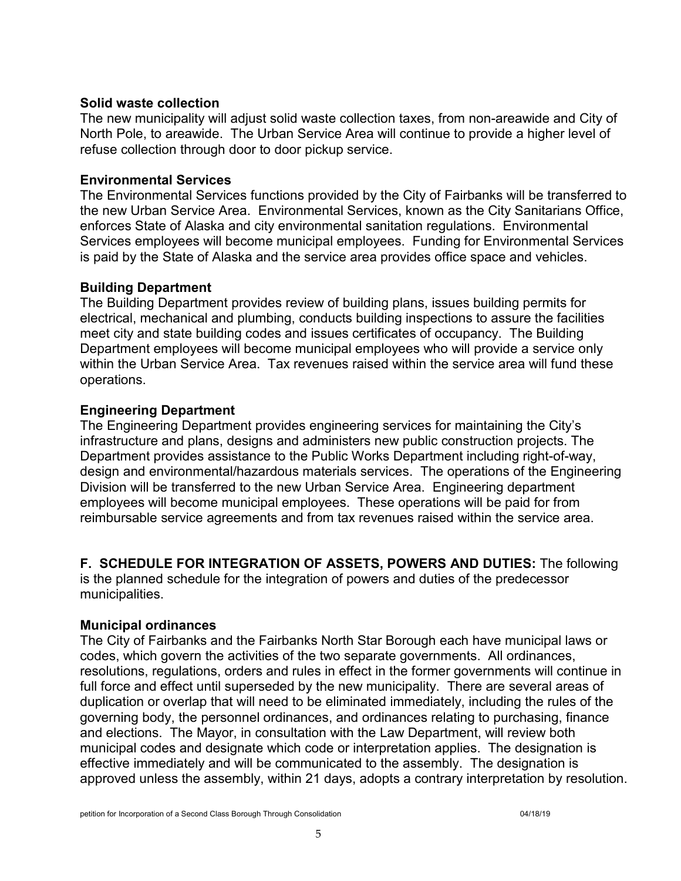#### **Solid waste collection**

The new municipality will adjust solid waste collection taxes, from non-areawide and City of North Pole, to areawide. The Urban Service Area will continue to provide a higher level of refuse collection through door to door pickup service.

#### **Environmental Services**

The Environmental Services functions provided by the City of Fairbanks will be transferred to the new Urban Service Area. Environmental Services, known as the City Sanitarians Office, enforces State of Alaska and city environmental sanitation regulations. Environmental Services employees will become municipal employees. Funding for Environmental Services is paid by the State of Alaska and the service area provides office space and vehicles.

#### **Building Department**

The Building Department provides review of building plans, issues building permits for electrical, mechanical and plumbing, conducts building inspections to assure the facilities meet city and state building codes and issues certificates of occupancy. The Building Department employees will become municipal employees who will provide a service only within the Urban Service Area. Tax revenues raised within the service area will fund these operations.

#### **Engineering Department**

The Engineering Department provides engineering services for maintaining the City's infrastructure and plans, designs and administers new public construction projects. The Department provides assistance to the Public Works Department including right-of-way, design and environmental/hazardous materials services. The operations of the Engineering Division will be transferred to the new Urban Service Area. Engineering department employees will become municipal employees. These operations will be paid for from reimbursable service agreements and from tax revenues raised within the service area.

**F. SCHEDULE FOR INTEGRATION OF ASSETS, POWERS AND DUTIES:** The following

is the planned schedule for the integration of powers and duties of the predecessor municipalities.

#### **Municipal ordinances**

The City of Fairbanks and the Fairbanks North Star Borough each have municipal laws or codes, which govern the activities of the two separate governments. All ordinances, resolutions, regulations, orders and rules in effect in the former governments will continue in full force and effect until superseded by the new municipality. There are several areas of duplication or overlap that will need to be eliminated immediately, including the rules of the governing body, the personnel ordinances, and ordinances relating to purchasing, finance and elections. The Mayor, in consultation with the Law Department, will review both municipal codes and designate which code or interpretation applies. The designation is effective immediately and will be communicated to the assembly. The designation is approved unless the assembly, within 21 days, adopts a contrary interpretation by resolution.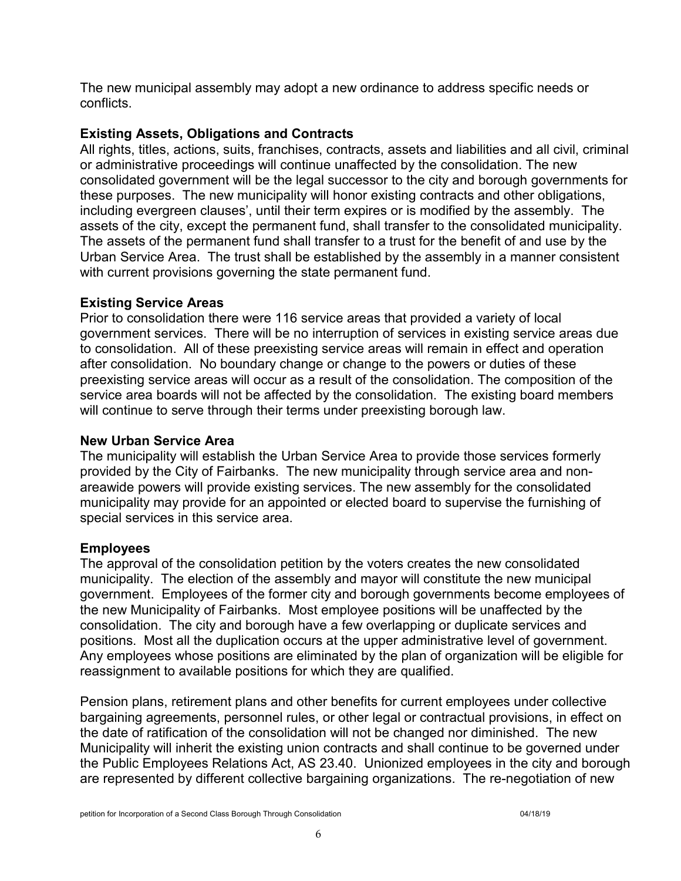The new municipal assembly may adopt a new ordinance to address specific needs or conflicts.

#### **Existing Assets, Obligations and Contracts**

All rights, titles, actions, suits, franchises, contracts, assets and liabilities and all civil, criminal or administrative proceedings will continue unaffected by the consolidation. The new consolidated government will be the legal successor to the city and borough governments for these purposes. The new municipality will honor existing contracts and other obligations, including evergreen clauses', until their term expires or is modified by the assembly. The assets of the city, except the permanent fund, shall transfer to the consolidated municipality. The assets of the permanent fund shall transfer to a trust for the benefit of and use by the Urban Service Area. The trust shall be established by the assembly in a manner consistent with current provisions governing the state permanent fund.

#### **Existing Service Areas**

Prior to consolidation there were 116 service areas that provided a variety of local government services. There will be no interruption of services in existing service areas due to consolidation. All of these preexisting service areas will remain in effect and operation after consolidation. No boundary change or change to the powers or duties of these preexisting service areas will occur as a result of the consolidation. The composition of the service area boards will not be affected by the consolidation. The existing board members will continue to serve through their terms under preexisting borough law.

#### **New Urban Service Area**

The municipality will establish the Urban Service Area to provide those services formerly provided by the City of Fairbanks. The new municipality through service area and nonareawide powers will provide existing services. The new assembly for the consolidated municipality may provide for an appointed or elected board to supervise the furnishing of special services in this service area.

#### **Employees**

The approval of the consolidation petition by the voters creates the new consolidated municipality. The election of the assembly and mayor will constitute the new municipal government. Employees of the former city and borough governments become employees of the new Municipality of Fairbanks. Most employee positions will be unaffected by the consolidation. The city and borough have a few overlapping or duplicate services and positions. Most all the duplication occurs at the upper administrative level of government. Any employees whose positions are eliminated by the plan of organization will be eligible for reassignment to available positions for which they are qualified.

Pension plans, retirement plans and other benefits for current employees under collective bargaining agreements, personnel rules, or other legal or contractual provisions, in effect on the date of ratification of the consolidation will not be changed nor diminished. The new Municipality will inherit the existing union contracts and shall continue to be governed under the Public Employees Relations Act, AS 23.40. Unionized employees in the city and borough are represented by different collective bargaining organizations. The re-negotiation of new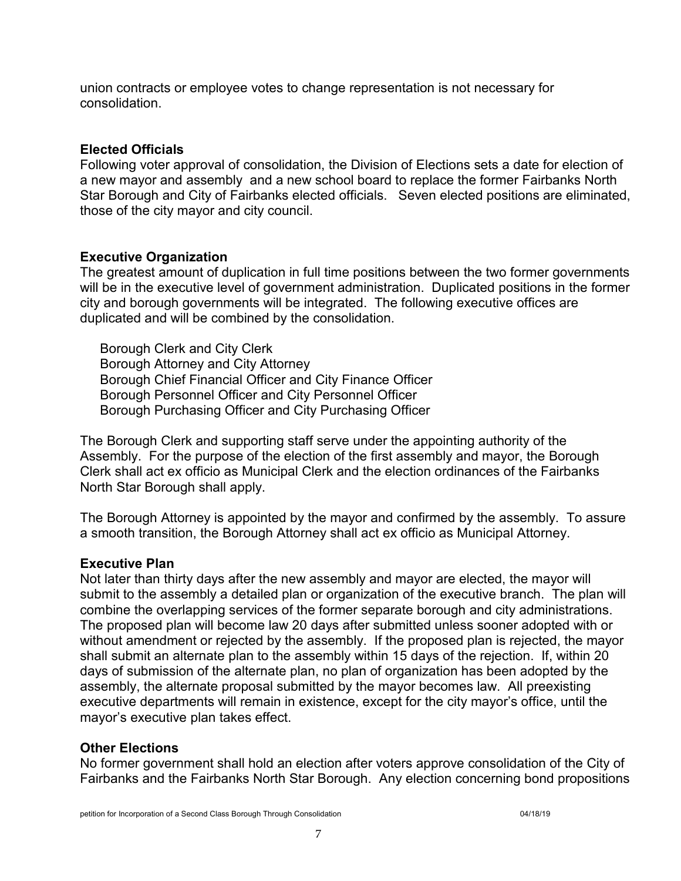union contracts or employee votes to change representation is not necessary for consolidation.

#### **Elected Officials**

Following voter approval of consolidation, the Division of Elections sets a date for election of a new mayor and assembly and a new school board to replace the former Fairbanks North Star Borough and City of Fairbanks elected officials. Seven elected positions are eliminated, those of the city mayor and city council.

#### **Executive Organization**

The greatest amount of duplication in full time positions between the two former governments will be in the executive level of government administration. Duplicated positions in the former city and borough governments will be integrated. The following executive offices are duplicated and will be combined by the consolidation.

Borough Clerk and City Clerk Borough Attorney and City Attorney Borough Chief Financial Officer and City Finance Officer Borough Personnel Officer and City Personnel Officer Borough Purchasing Officer and City Purchasing Officer

The Borough Clerk and supporting staff serve under the appointing authority of the Assembly. For the purpose of the election of the first assembly and mayor, the Borough Clerk shall act ex officio as Municipal Clerk and the election ordinances of the Fairbanks North Star Borough shall apply.

The Borough Attorney is appointed by the mayor and confirmed by the assembly. To assure a smooth transition, the Borough Attorney shall act ex officio as Municipal Attorney.

#### **Executive Plan**

Not later than thirty days after the new assembly and mayor are elected, the mayor will submit to the assembly a detailed plan or organization of the executive branch. The plan will combine the overlapping services of the former separate borough and city administrations. The proposed plan will become law 20 days after submitted unless sooner adopted with or without amendment or rejected by the assembly. If the proposed plan is rejected, the mayor shall submit an alternate plan to the assembly within 15 days of the rejection. If, within 20 days of submission of the alternate plan, no plan of organization has been adopted by the assembly, the alternate proposal submitted by the mayor becomes law. All preexisting executive departments will remain in existence, except for the city mayor's office, until the mayor's executive plan takes effect.

#### **Other Elections**

No former government shall hold an election after voters approve consolidation of the City of Fairbanks and the Fairbanks North Star Borough. Any election concerning bond propositions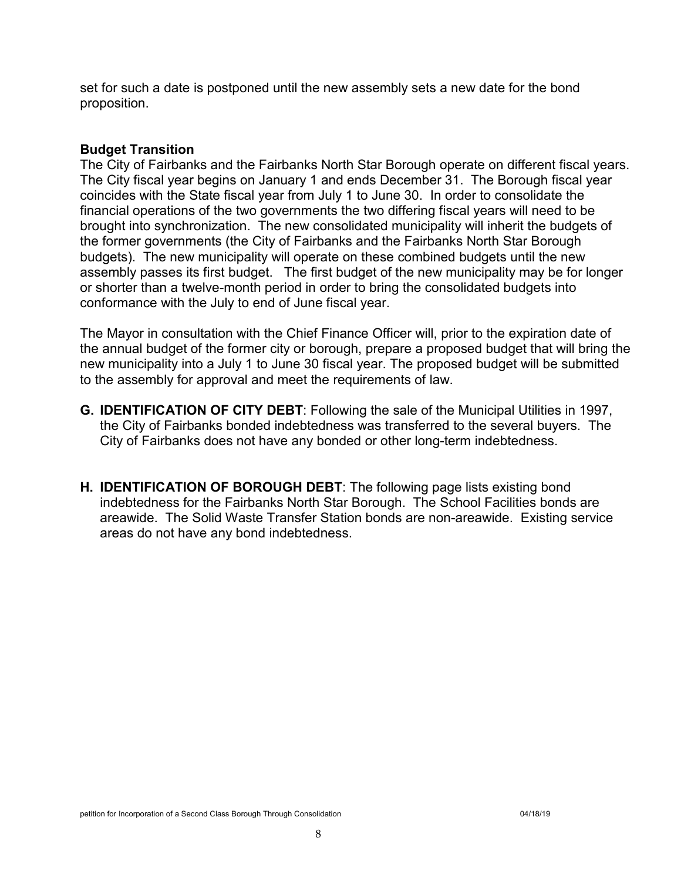set for such a date is postponed until the new assembly sets a new date for the bond proposition.

#### **Budget Transition**

The City of Fairbanks and the Fairbanks North Star Borough operate on different fiscal years. The City fiscal year begins on January 1 and ends December 31. The Borough fiscal year coincides with the State fiscal year from July 1 to June 30. In order to consolidate the financial operations of the two governments the two differing fiscal years will need to be brought into synchronization. The new consolidated municipality will inherit the budgets of the former governments (the City of Fairbanks and the Fairbanks North Star Borough budgets). The new municipality will operate on these combined budgets until the new assembly passes its first budget. The first budget of the new municipality may be for longer or shorter than a twelve-month period in order to bring the consolidated budgets into conformance with the July to end of June fiscal year.

The Mayor in consultation with the Chief Finance Officer will, prior to the expiration date of the annual budget of the former city or borough, prepare a proposed budget that will bring the new municipality into a July 1 to June 30 fiscal year. The proposed budget will be submitted to the assembly for approval and meet the requirements of law.

- **G. IDENTIFICATION OF CITY DEBT**: Following the sale of the Municipal Utilities in 1997, the City of Fairbanks bonded indebtedness was transferred to the several buyers. The City of Fairbanks does not have any bonded or other long-term indebtedness.
- **H. IDENTIFICATION OF BOROUGH DEBT**: The following page lists existing bond indebtedness for the Fairbanks North Star Borough. The School Facilities bonds are areawide. The Solid Waste Transfer Station bonds are non-areawide. Existing service areas do not have any bond indebtedness.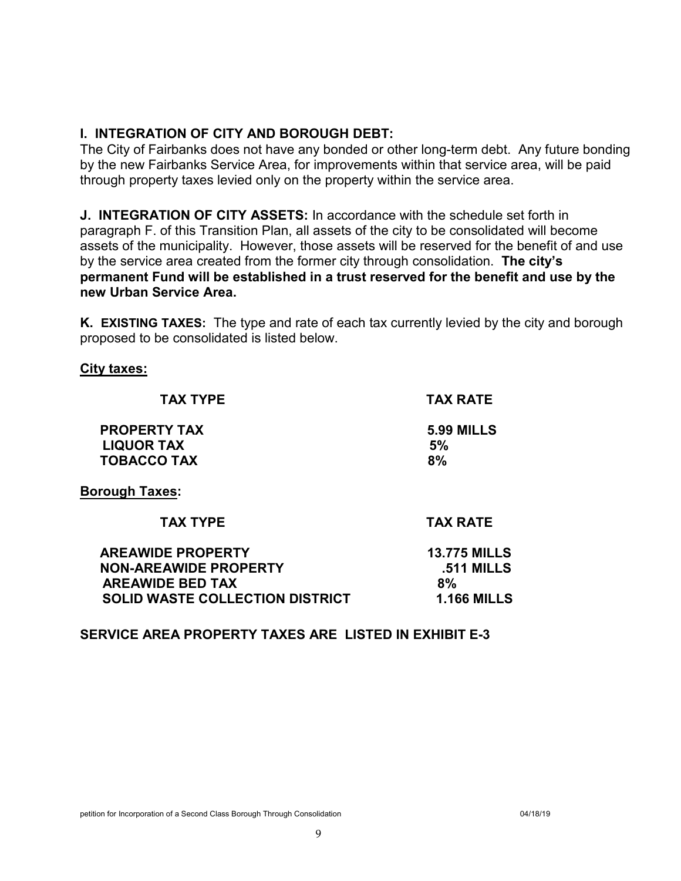#### **I. INTEGRATION OF CITY AND BOROUGH DEBT:**

The City of Fairbanks does not have any bonded or other long-term debt. Any future bonding by the new Fairbanks Service Area, for improvements within that service area, will be paid through property taxes levied only on the property within the service area.

**J. INTEGRATION OF CITY ASSETS:** In accordance with the schedule set forth in paragraph F. of this Transition Plan, all assets of the city to be consolidated will become assets of the municipality. However, those assets will be reserved for the benefit of and use by the service area created from the former city through consolidation. **The city's permanent Fund will be established in a trust reserved for the benefit and use by the new Urban Service Area.**

**K. EXISTING TAXES:** The type and rate of each tax currently levied by the city and borough proposed to be consolidated is listed below.

#### **City taxes:**

| <b>TAX TYPE</b>                                                | <b>TAX RATE</b>               |
|----------------------------------------------------------------|-------------------------------|
| <b>PROPERTY TAX</b><br><b>LIQUOR TAX</b><br><b>TOBACCO TAX</b> | <b>5.99 MILLS</b><br>5%<br>8% |
| <b>Borough Taxes:</b>                                          |                               |
| <b>TAX TYPE</b>                                                | <b>TAX RATE</b>               |
| ADE AMINE DDADEDTV                                             | 12 776 MILLS                  |

| <b>AREAWIDE PROPERTY</b>               | <b>13.775 MILLS</b> |
|----------------------------------------|---------------------|
| <b>NON-AREAWIDE PROPERTY</b>           | <b>.511 MILLS</b>   |
| <b>AREAWIDE BED TAX</b>                | 8%                  |
| <b>SOLID WASTE COLLECTION DISTRICT</b> | <b>1.166 MILLS</b>  |
|                                        |                     |

**SERVICE AREA PROPERTY TAXES ARE LISTED IN EXHIBIT E-3**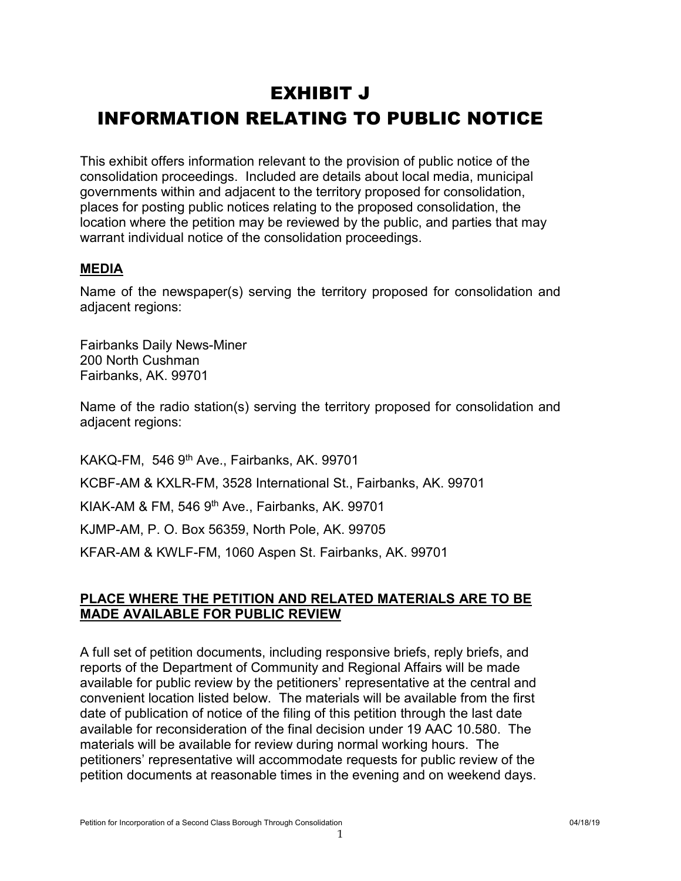# EXHIBIT J INFORMATION RELATING TO PUBLIC NOTICE

This exhibit offers information relevant to the provision of public notice of the consolidation proceedings. Included are details about local media, municipal governments within and adjacent to the territory proposed for consolidation, places for posting public notices relating to the proposed consolidation, the location where the petition may be reviewed by the public, and parties that may warrant individual notice of the consolidation proceedings.

#### **MEDIA**

Name of the newspaper(s) serving the territory proposed for consolidation and adjacent regions:

Fairbanks Daily News-Miner 200 North Cushman Fairbanks, AK. 99701

Name of the radio station(s) serving the territory proposed for consolidation and adjacent regions:

KAKQ-FM, 546 9th Ave., Fairbanks, AK. 99701 KCBF-AM & KXLR-FM, 3528 International St., Fairbanks, AK. 99701 KIAK-AM & FM, 546 9th Ave., Fairbanks, AK. 99701 KJMP-AM, P. O. Box 56359, North Pole, AK. 99705 KFAR-AM & KWLF-FM, 1060 Aspen St. Fairbanks, AK. 99701

#### **PLACE WHERE THE PETITION AND RELATED MATERIALS ARE TO BE MADE AVAILABLE FOR PUBLIC REVIEW**

A full set of petition documents, including responsive briefs, reply briefs, and reports of the Department of Community and Regional Affairs will be made available for public review by the petitioners' representative at the central and convenient location listed below. The materials will be available from the first date of publication of notice of the filing of this petition through the last date available for reconsideration of the final decision under 19 AAC 10.580. The materials will be available for review during normal working hours. The petitioners' representative will accommodate requests for public review of the petition documents at reasonable times in the evening and on weekend days.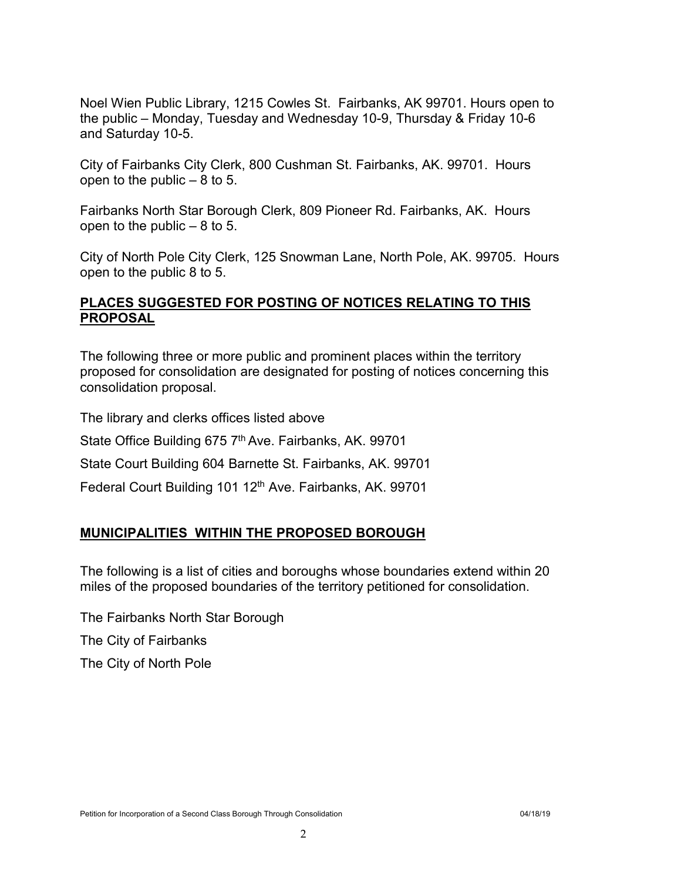Noel Wien Public Library, 1215 Cowles St. Fairbanks, AK 99701. Hours open to the public – Monday, Tuesday and Wednesday 10-9, Thursday & Friday 10-6 and Saturday 10-5.

City of Fairbanks City Clerk, 800 Cushman St. Fairbanks, AK. 99701. Hours open to the public  $-8$  to 5.

Fairbanks North Star Borough Clerk, 809 Pioneer Rd. Fairbanks, AK. Hours open to the public  $-8$  to 5.

City of North Pole City Clerk, 125 Snowman Lane, North Pole, AK. 99705. Hours open to the public 8 to 5.

#### **PLACES SUGGESTED FOR POSTING OF NOTICES RELATING TO THIS PROPOSAL**

The following three or more public and prominent places within the territory proposed for consolidation are designated for posting of notices concerning this consolidation proposal.

The library and clerks offices listed above

State Office Building 675 7<sup>th</sup> Ave. Fairbanks, AK. 99701

State Court Building 604 Barnette St. Fairbanks, AK. 99701

Federal Court Building 101 12<sup>th</sup> Ave. Fairbanks, AK. 99701

#### **MUNICIPALITIES WITHIN THE PROPOSED BOROUGH**

The following is a list of cities and boroughs whose boundaries extend within 20 miles of the proposed boundaries of the territory petitioned for consolidation.

The Fairbanks North Star Borough The City of Fairbanks

The City of North Pole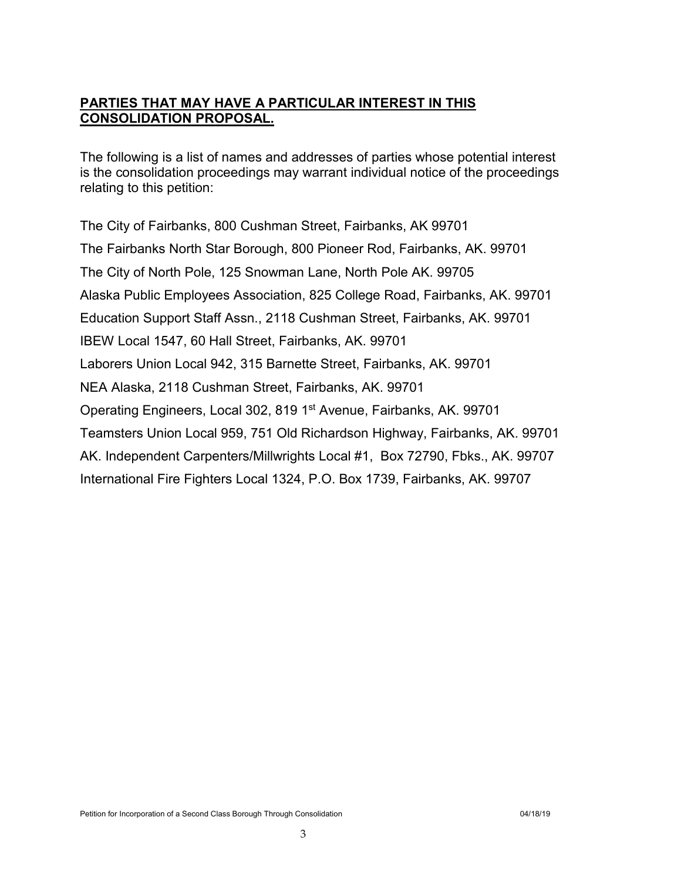#### **PARTIES THAT MAY HAVE A PARTICULAR INTEREST IN THIS CONSOLIDATION PROPOSAL.**

The following is a list of names and addresses of parties whose potential interest is the consolidation proceedings may warrant individual notice of the proceedings relating to this petition:

The City of Fairbanks, 800 Cushman Street, Fairbanks, AK 99701 The Fairbanks North Star Borough, 800 Pioneer Rod, Fairbanks, AK. 99701 The City of North Pole, 125 Snowman Lane, North Pole AK. 99705 Alaska Public Employees Association, 825 College Road, Fairbanks, AK. 99701 Education Support Staff Assn., 2118 Cushman Street, Fairbanks, AK. 99701 IBEW Local 1547, 60 Hall Street, Fairbanks, AK. 99701 Laborers Union Local 942, 315 Barnette Street, Fairbanks, AK. 99701 NEA Alaska, 2118 Cushman Street, Fairbanks, AK. 99701 Operating Engineers, Local 302, 819 1<sup>st</sup> Avenue, Fairbanks, AK. 99701 Teamsters Union Local 959, 751 Old Richardson Highway, Fairbanks, AK. 99701 AK. Independent Carpenters/Millwrights Local #1, Box 72790, Fbks., AK. 99707 International Fire Fighters Local 1324, P.O. Box 1739, Fairbanks, AK. 99707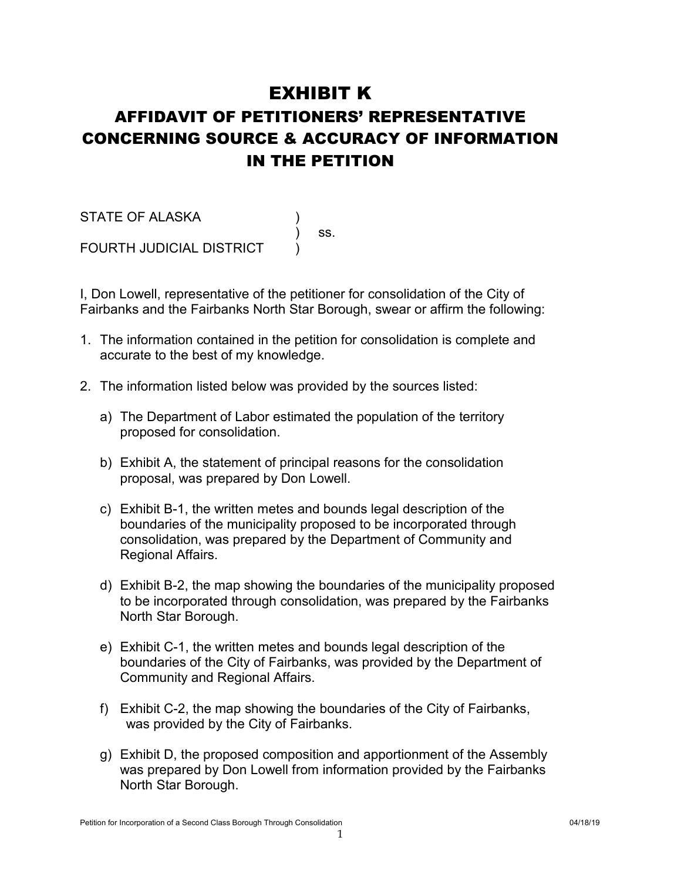### EXHIBIT K

# AFFIDAVIT OF PETITIONERS' REPRESENTATIVE CONCERNING SOURCE & ACCURACY OF INFORMATION IN THE PETITION

) ss.

STATE OF ALASKA ) FOURTH JUDICIAL DISTRICT

I, Don Lowell, representative of the petitioner for consolidation of the City of Fairbanks and the Fairbanks North Star Borough, swear or affirm the following:

- 1. The information contained in the petition for consolidation is complete and accurate to the best of my knowledge.
- 2. The information listed below was provided by the sources listed:
	- a) The Department of Labor estimated the population of the territory proposed for consolidation.
	- b) Exhibit A, the statement of principal reasons for the consolidation proposal, was prepared by Don Lowell.
	- c) Exhibit B-1, the written metes and bounds legal description of the boundaries of the municipality proposed to be incorporated through consolidation, was prepared by the Department of Community and Regional Affairs.
	- d) Exhibit B-2, the map showing the boundaries of the municipality proposed to be incorporated through consolidation, was prepared by the Fairbanks North Star Borough.
	- e) Exhibit C-1, the written metes and bounds legal description of the boundaries of the City of Fairbanks, was provided by the Department of Community and Regional Affairs.
	- f) Exhibit C-2, the map showing the boundaries of the City of Fairbanks, was provided by the City of Fairbanks.
	- g) Exhibit D, the proposed composition and apportionment of the Assembly was prepared by Don Lowell from information provided by the Fairbanks North Star Borough.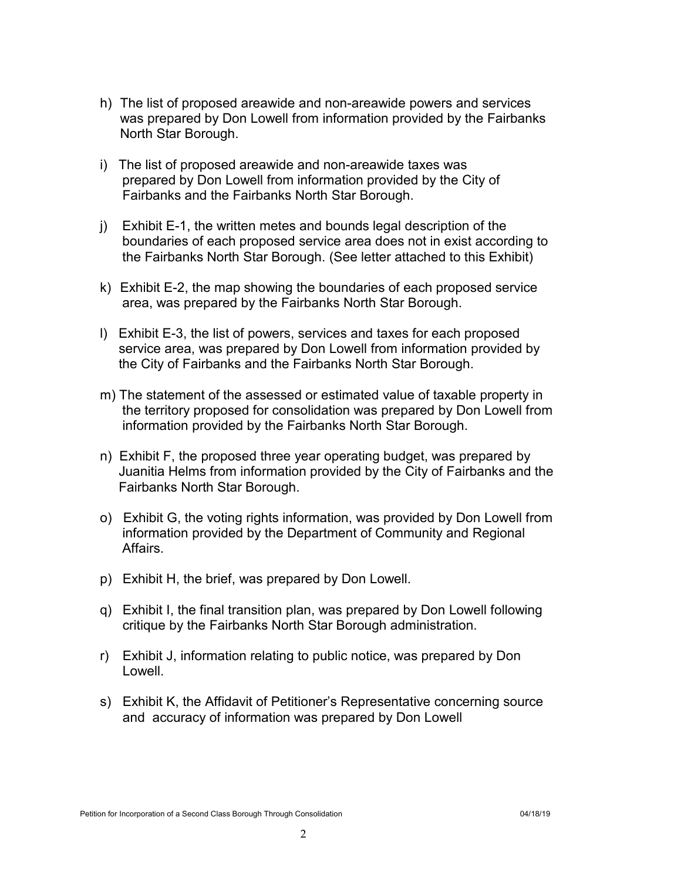- h) The list of proposed areawide and non-areawide powers and services was prepared by Don Lowell from information provided by the Fairbanks North Star Borough.
- i) The list of proposed areawide and non-areawide taxes was prepared by Don Lowell from information provided by the City of Fairbanks and the Fairbanks North Star Borough.
- j) Exhibit E-1, the written metes and bounds legal description of the boundaries of each proposed service area does not in exist according to the Fairbanks North Star Borough. (See letter attached to this Exhibit)
- k) Exhibit E-2, the map showing the boundaries of each proposed service area, was prepared by the Fairbanks North Star Borough.
- l) Exhibit E-3, the list of powers, services and taxes for each proposed service area, was prepared by Don Lowell from information provided by the City of Fairbanks and the Fairbanks North Star Borough.
- m) The statement of the assessed or estimated value of taxable property in the territory proposed for consolidation was prepared by Don Lowell from information provided by the Fairbanks North Star Borough.
- n) Exhibit F, the proposed three year operating budget, was prepared by Juanitia Helms from information provided by the City of Fairbanks and the Fairbanks North Star Borough.
- o) Exhibit G, the voting rights information, was provided by Don Lowell from information provided by the Department of Community and Regional Affairs.
- p) Exhibit H, the brief, was prepared by Don Lowell.
- q) Exhibit I, the final transition plan, was prepared by Don Lowell following critique by the Fairbanks North Star Borough administration.
- r) Exhibit J, information relating to public notice, was prepared by Don Lowell.
- s) Exhibit K, the Affidavit of Petitioner's Representative concerning source and accuracy of information was prepared by Don Lowell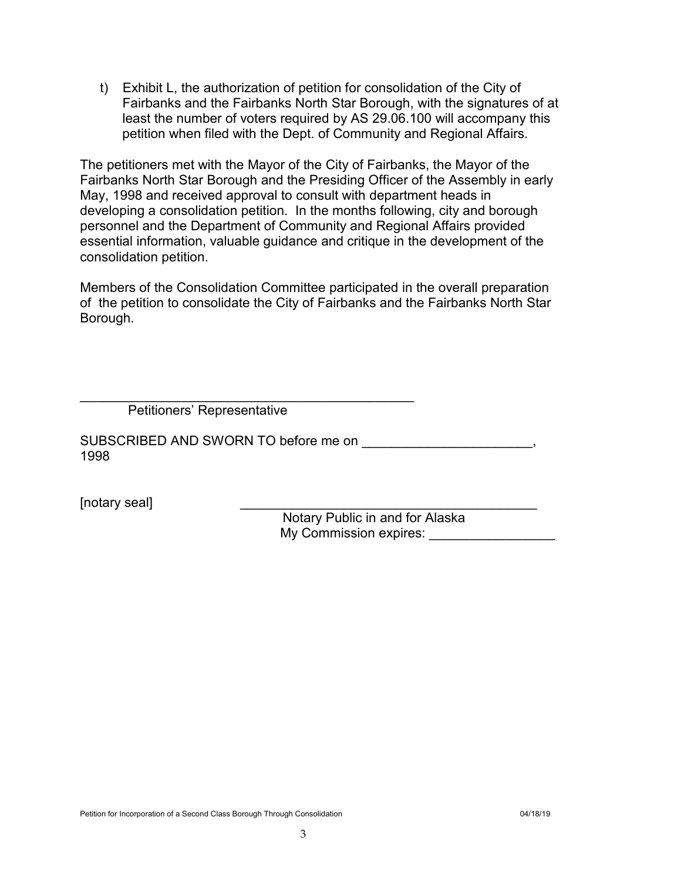t) Exhibit L, the authorization of petition for consolidation of the City of Fairbanks and the Fairbanks North Star Borough, with the signatures of at least the number of voters required by AS 29.06.100 will accompany this petition when filed with the Dept. of Community and Regional Affairs.

The petitioners met with the Mayor of the City of Fairbanks, the Mayor of the Fairbanks North Star Borough and the Presiding Officer of the Assembly in early May, 1998 and received approval to consult with department heads in developing a consolidation petition. In the months following, city and borough personnel and the Department of Community and Regional Affairs provided essential information, valuable guidance and critique in the development of the consolidation petition.

Members of the Consolidation Committee participated in the overall preparation of the petition to consolidate the City of Fairbanks and the Fairbanks North Star Borough.

 $\frac{1}{2}$  , and the set of the set of the set of the set of the set of the set of the set of the set of the set of the set of the set of the set of the set of the set of the set of the set of the set of the set of the set Petitioners' Representative

SUBSCRIBED AND SWORN TO before me on 1998

[notary seal]

Notary Public in and for Alaska My Commission expires: \_\_\_\_\_\_\_\_\_\_\_\_\_\_\_\_\_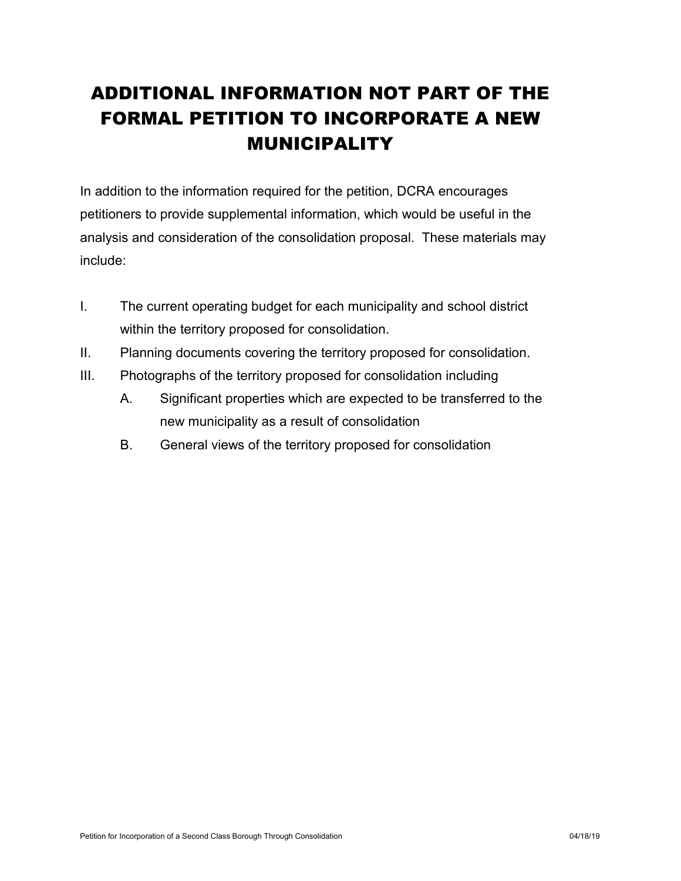# ADDITIONAL INFORMATION NOT PART OF THE FORMAL PETITION TO INCORPORATE A NEW MUNICIPALITY

In addition to the information required for the petition, DCRA encourages petitioners to provide supplemental information, which would be useful in the analysis and consideration of the consolidation proposal. These materials may include:

- I. The current operating budget for each municipality and school district within the territory proposed for consolidation.
- II. Planning documents covering the territory proposed for consolidation.
- III. Photographs of the territory proposed for consolidation including
	- A. Significant properties which are expected to be transferred to the new municipality as a result of consolidation
	- B. General views of the territory proposed for consolidation